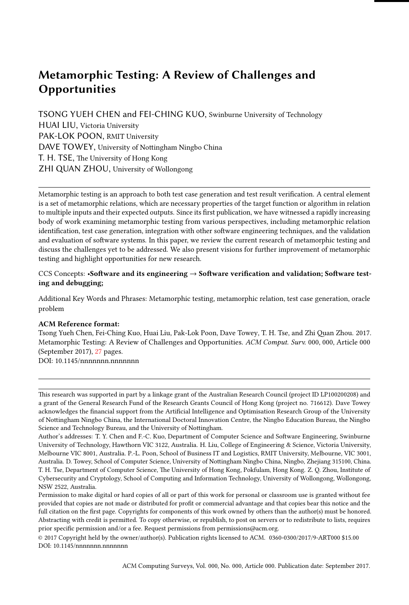# Metamorphic Testing: A Review of Challenges and **Opportunities**

TSONG YUEH CHEN and FEI-CHING KUO, Swinburne University of Technology HUAI LIU, Victoria University PAK-LOK POON, RMIT University DAVE TOWEY, University of Nottingham Ningbo China T. H. TSE, The University of Hong Kong ZHI QUAN ZHOU, University of Wollongong

Metamorphic testing is an approach to both test case generation and test result verification. A central element is a set of metamorphic relations, which are necessary properties of the target function or algorithm in relation to multiple inputs and their expected outputs. Since its first publication, we have witnessed a rapidly increasing body of work examining metamorphic testing from various perspectives, including metamorphic relation identification, test case generation, integration with other software engineering techniques, and the validation and evaluation of software systems. In this paper, we review the current research of metamorphic testing and discuss the challenges yet to be addressed. We also present visions for further improvement of metamorphic testing and highlight opportunities for new research.

# CCS Concepts: •Software and its engineering  $\rightarrow$  Software verification and validation; Software testing and debugging;

Additional Key Words and Phrases: Metamorphic testing, metamorphic relation, test case generation, oracle problem

# ACM Reference format:

Tsong Yueh Chen, Fei-Ching Kuo, Huai Liu, Pak-Lok Poon, Dave Towey, T. H. Tse, and Zhi Quan Zhou. 2017. Metamorphic Testing: A Review of Challenges and Opportunities. ACM Comput. Surv. 000, 000, Article 000 (September 2017), [27](#page-26-0) pages.

DOI: 10.1145/nnnnnnn.nnnnnnn

This research was supported in part by a linkage grant of the Australian Research Council (project ID LP100200208) and a grant of the General Research Fund of the Research Grants Council of Hong Kong (project no. 716612). Dave Towey acknowledges the financial support from the Artificial Intelligence and Optimisation Research Group of the University of Noingham Ningbo China, the International Doctoral Innovation Centre, the Ningbo Education Bureau, the Ningbo Science and Technology Bureau, and the University of Nottingham.

Author's addresses: T. Y. Chen and F.-C. Kuo, Department of Computer Science and Software Engineering, Swinburne University of Technology, Hawthorn VIC 3122, Australia. H. Liu, College of Engineering & Science, Victoria University, Melbourne VIC 8001, Australia. P.-L. Poon, School of Business IT and Logistics, RMIT University, Melbourne, VIC 3001, Australia. D. Towey, School of Computer Science, University of Nottingham Ningbo China, Ningbo, Zhejiang 315100, China. T. H. Tse, Department of Computer Science, The University of Hong Kong, Pokfulam, Hong Kong. Z. Q. Zhou, Institute of Cybersecurity and Cryptology, School of Computing and Information Technology, University of Wollongong, Wollongong, NSW 2522, Australia.

Permission to make digital or hard copies of all or part of this work for personal or classroom use is granted without fee provided that copies are not made or distributed for profit or commercial advantage and that copies bear this notice and the full citation on the first page. Copyrights for components of this work owned by others than the author(s) must be honored. Abstracting with credit is permitted. To copy otherwise, or republish, to post on servers or to redistribute to lists, requires prior specific permission and/or a fee. Request permissions from permissions@acm.org.

<sup>©</sup> 2017 Copyright held by the owner/author(s). Publication rights licensed to ACM. 0360-0300/2017/9-ART000 \$15.00 DOI: 10.1145/nnnnnnn.nnnnnnn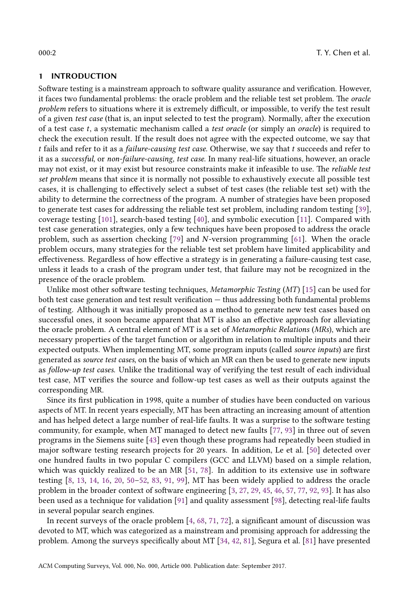# 1 INTRODUCTION

Software testing is a mainstream approach to software quality assurance and verification. However, it faces two fundamental problems: the oracle problem and the reliable test set problem. The *oracle* problem refers to situations where it is extremely difficult, or impossible, to verify the test result of a given test case (that is, an input selected to test the program). Normally, after the execution of a test case t, a systematic mechanism called a test oracle (or simply an oracle) is required to check the execution result. If the result does not agree with the expected outcome, we say that t fails and refer to it as a failure-causing test case. Otherwise, we say that t succeeds and refer to it as a successful, or non-failure-causing, test case. In many real-life situations, however, an oracle may not exist, or it may exist but resource constraints make it infeasible to use. The *reliable test* set problem means that since it is normally not possible to exhaustively execute all possible test cases, it is challenging to effectively select a subset of test cases (the reliable test set) with the ability to determine the correctness of the program. A number of strategies have been proposed to generate test cases for addressing the reliable test set problem, including random testing [\[39\]](#page-23-0), coverage testing [\[101\]](#page-26-1), search-based testing [\[40\]](#page-23-1), and symbolic execution [\[11\]](#page-22-0). Compared with test case generation strategies, only a few techniques have been proposed to address the oracle problem, such as assertion checking [\[79\]](#page-25-0) and N-version programming [\[61\]](#page-24-0). When the oracle problem occurs, many strategies for the reliable test set problem have limited applicability and effectiveness. Regardless of how effective a strategy is in generating a failure-causing test case, unless it leads to a crash of the program under test, that failure may not be recognized in the presence of the oracle problem.

Unlike most other software testing techniques, *Metamorphic Testing*  $(MT)$  [\[15\]](#page-22-1) can be used for both test case generation and test result verification  $-$  thus addressing both fundamental problems of testing. Although it was initially proposed as a method to generate new test cases based on successful ones, it soon became apparent that MT is also an effective approach for alleviating the oracle problem. A central element of MT is a set of Metamorphic Relations (MRs), which are necessary properties of the target function or algorithm in relation to multiple inputs and their expected outputs. When implementing MT, some program inputs (called *source inputs*) are first generated as source test cases, on the basis of which an MR can then be used to generate new inputs as follow-up test cases. Unlike the traditional way of verifying the test result of each individual test case, MT verifies the source and follow-up test cases as well as their outputs against the corresponding MR.

Since its first publication in 1998, quite a number of studies have been conducted on various aspects of MT. In recent years especially, MT has been attracting an increasing amount of attention and has helped detect a large number of real-life faults. It was a surprise to the software testing community, for example, when MT managed to detect new faults [\[77,](#page-25-1) [93\]](#page-26-2) in three out of seven programs in the Siemens suite [\[43\]](#page-23-2) even though these programs had repeatedly been studied in major software testing research projects for 20 years. In addition, Le et al. [\[50\]](#page-24-1) detected over one hundred faults in two popular C compilers (GCC and LLVM) based on a simple relation, which was quickly realized to be an MR  $[51, 78]$  $[51, 78]$  $[51, 78]$ . In addition to its extensive use in software testing [\[8,](#page-22-2) [13,](#page-22-3) [14,](#page-22-4) [16,](#page-22-5) [20,](#page-22-6) [50–](#page-24-1)[52,](#page-24-3) [83,](#page-25-3) [91,](#page-25-4) [99\]](#page-26-3), MT has been widely applied to address the oracle problem in the broader context of software engineering  $[3, 27, 29, 45, 46, 57, 77, 92, 93]$  $[3, 27, 29, 45, 46, 57, 77, 92, 93]$  $[3, 27, 29, 45, 46, 57, 77, 92, 93]$  $[3, 27, 29, 45, 46, 57, 77, 92, 93]$  $[3, 27, 29, 45, 46, 57, 77, 92, 93]$  $[3, 27, 29, 45, 46, 57, 77, 92, 93]$  $[3, 27, 29, 45, 46, 57, 77, 92, 93]$  $[3, 27, 29, 45, 46, 57, 77, 92, 93]$  $[3, 27, 29, 45, 46, 57, 77, 92, 93]$  $[3, 27, 29, 45, 46, 57, 77, 92, 93]$  $[3, 27, 29, 45, 46, 57, 77, 92, 93]$  $[3, 27, 29, 45, 46, 57, 77, 92, 93]$  $[3, 27, 29, 45, 46, 57, 77, 92, 93]$  $[3, 27, 29, 45, 46, 57, 77, 92, 93]$  $[3, 27, 29, 45, 46, 57, 77, 92, 93]$  $[3, 27, 29, 45, 46, 57, 77, 92, 93]$  $[3, 27, 29, 45, 46, 57, 77, 92, 93]$ . It has also been used as a technique for validation [\[91\]](#page-25-4) and quality assessment [\[98\]](#page-26-5), detecting real-life faults in several popular search engines.

In recent surveys of the oracle problem  $[4, 68, 71, 72]$  $[4, 68, 71, 72]$  $[4, 68, 71, 72]$  $[4, 68, 71, 72]$  $[4, 68, 71, 72]$  $[4, 68, 71, 72]$  $[4, 68, 71, 72]$ , a significant amount of discussion was devoted to MT, which was categorized as a mainstream and promising approach for addressing the problem. Among the surveys specifically about MT  $[34, 42, 81]$  $[34, 42, 81]$  $[34, 42, 81]$  $[34, 42, 81]$  $[34, 42, 81]$ , Segura et al.  $[81]$  have presented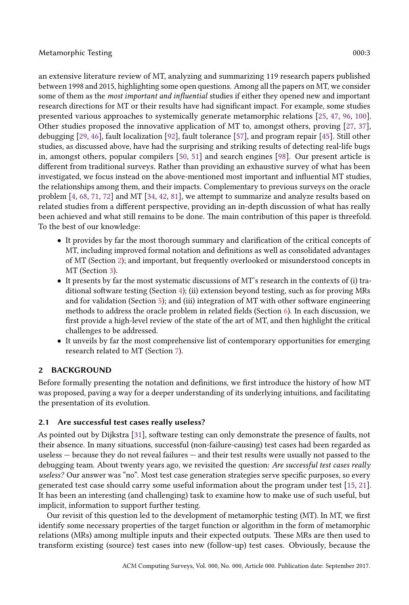an extensive literature review of MT, analyzing and summarizing 119 research papers published between 1998 and 2015, highlighting some open questions. Among all the papers on MT, we consider some of them as the *most important and influential* studies if either they opened new and important research directions for MT or their results have had significant impact. For example, some studies presented various approaches to systemically generate metamorphic relations [\[25,](#page-23-9) [47,](#page-23-10) [96,](#page-26-6) [100\]](#page-26-7). Other studies proposed the innovative application of MT to, amongst others, proving [\[27,](#page-23-3) [37\]](#page-23-11), debugging [\[29,](#page-23-4) [46\]](#page-23-6), fault localization [\[92\]](#page-26-4), fault tolerance [\[57\]](#page-24-4), and program repair [\[45\]](#page-23-5). Still other studies, as discussed above, have had the surprising and striking results of detecting real-life bugs in, amongst others, popular compilers [\[50,](#page-24-1) [51\]](#page-24-2) and search engines [\[98\]](#page-26-5). Our present article is different from traditional surveys. Rather than providing an exhaustive survey of what has been investigated, we focus instead on the above-mentioned most important and influential MT studies, the relationships among them, and their impacts. Complementary to previous surveys on the oracle problem  $[4, 68, 71, 72]$  $[4, 68, 71, 72]$  $[4, 68, 71, 72]$  $[4, 68, 71, 72]$  $[4, 68, 71, 72]$  $[4, 68, 71, 72]$  $[4, 68, 71, 72]$  and MT  $[34, 42, 81]$  $[34, 42, 81]$  $[34, 42, 81]$  $[34, 42, 81]$  $[34, 42, 81]$ , we attempt to summarize and analyze results based on related studies from a different perspective, providing an in-depth discussion of what has really been achieved and what still remains to be done. The main contribution of this paper is threefold. To the best of our knowledge:

- It provides by far the most thorough summary and clarification of the critical concepts of MT, including improved formal notation and definitions as well as consolidated advantages of MT (Section [2\)](#page-2-0); and important, but frequently overlooked or misunderstood concepts in MT (Section [3\)](#page-5-0).
- It presents by far the most systematic discussions of MT's research in the contexts of (i) tra-ditional software testing (Section [4\)](#page-7-0); (ii) extension beyond testing, such as for proving MRs and for validation (Section [5\)](#page-11-0); and (iii) integration of MT with other software engineering methods to address the oracle problem in related fields (Section [6\)](#page-13-0). In each discussion, we first provide a high-level review of the state of the art of MT, and then highlight the critical challenges to be addressed.
- It unveils by far the most comprehensive list of contemporary opportunities for emerging research related to MT (Section [7\)](#page-16-0).

# <span id="page-2-0"></span>2 BACKGROUND

Before formally presenting the notation and definitions, we first introduce the history of how MT was proposed, paving a way for a deeper understanding of its underlying intuitions, and facilitating the presentation of its evolution.

# 2.1 Are successful test cases really useless?

As pointed out by Dijkstra [\[31\]](#page-23-12), software testing can only demonstrate the presence of faults, not their absence. In many situations, successful (non-failure-causing) test cases had been regarded as useless — because they do not reveal failures — and their test results were usually not passed to the debugging team. About twenty years ago, we revisited the question: Are successful test cases really useless? Our answer was "no". Most test case generation strategies serve specific purposes, so every generated test case should carry some useful information about the program under test [\[15,](#page-22-1) [21\]](#page-22-9). It has been an interesting (and challenging) task to examine how to make use of such useful, but implicit, information to support further testing.

Our revisit of this question led to the development of metamorphic testing (MT). In MT, we first identify some necessary properties of the target function or algorithm in the form of metamorphic relations (MRs) among multiple inputs and their expected outputs. These MRs are then used to transform existing (source) test cases into new (follow-up) test cases. Obviously, because the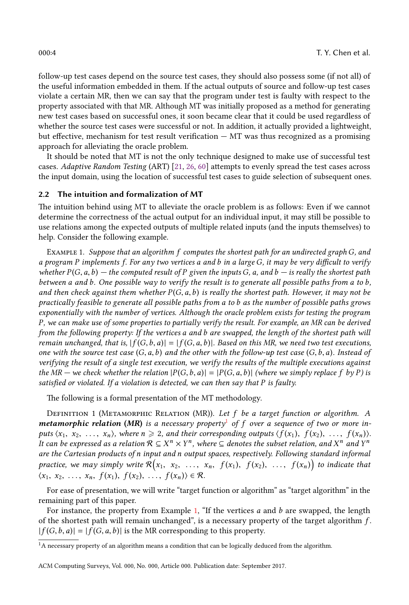follow-up test cases depend on the source test cases, they should also possess some (if not all) of the useful information embedded in them. If the actual outputs of source and follow-up test cases violate a certain MR, then we can say that the program under test is faulty with respect to the property associated with that MR. Although MT was initially proposed as a method for generating new test cases based on successful ones, it soon became clear that it could be used regardless of whether the source test cases were successful or not. In addition, it actually provided a lightweight, but effective, mechanism for test result verification  $-$  MT was thus recognized as a promising approach for alleviating the oracle problem.

It should be noted that MT is not the only technique designed to make use of successful test cases. Adaptive Random Testing (ART)  $[21, 26, 60]$  $[21, 26, 60]$  $[21, 26, 60]$  $[21, 26, 60]$  $[21, 26, 60]$  attempts to evenly spread the test cases across the input domain, using the location of successful test cases to guide selection of subsequent ones.

# <span id="page-3-2"></span>2.2 The intuition and formalization of MT

The intuition behind using MT to alleviate the oracle problem is as follows: Even if we cannot determine the correctness of the actual output for an individual input, it may still be possible to use relations among the expected outputs of multiple related inputs (and the inputs themselves) to help. Consider the following example.

<span id="page-3-1"></span>Example 1. Suppose that an algorithm f computes the shortest path for an undirected graph G, and a program P implements f. For any two vertices a and b in a large  $G$ , it may be very difficult to verify whether  $P(G, a, b)$  — the computed result of P given the inputs G, a, and b — is really the shortest path between a and b. One possible way to verify the result is to generate all possible paths from a to b, and then check against them whether  $P(G, a, b)$  is really the shortest path. However, it may not be practically feasible to generate all possible paths from a to b as the number of possible paths grows exponentially with the number of vertices. Although the oracle problem exists for testing the program P, we can make use of some properties to partially verify the result. For example, an MR can be derived from the following property: If the vertices a and b are swapped, the length of the shortest path will remain unchanged, that is,  $|f(G, b, a)| = |f(G, a, b)|$ . Based on this MR, we need two test executions, one with the source test case  $(G, a, b)$  and the other with the follow-up test case  $(G, b, a)$ . Instead of verifying the result of a single test execution, we verify the results of the multiple executions against the MR — we check whether the relation  $|P(G, b, a)| = |P(G, a, b)|$  (where we simply replace f by P) is satisfied or violated. If a violation is detected, we can then say that  $P$  is faulty.

The following is a formal presentation of the MT methodology.

DEFINITION 1 (METAMORPHIC RELATION (MR)). Let  $f$  be a target function or algorithm. A **metamorphic relation (MR)** is a necessary property<sup>[1](#page-3-0)</sup> of f over a sequence of two or more in-<br>types  $(x, y, y)$  where  $n \geq 2$  and their corresponding outputs  $(f(x), f(x))$   $f(x)$ puts  $\langle x_1, x_2, \ldots, x_n \rangle$ , where  $n \geqslant 2$ , and their corresponding outputs  $\langle f(x_1), f(x_2), \ldots, f(x_n) \rangle$ . It can be expressed as a relation  $\mathcal{R} \subseteq X^n \times Y^n$ , where  $\subseteq$  denotes the subset relation, and  $X^n$  and  $Y^n$ <br>are the Cartesian products of n input and n output spaces, respectively. Following standard informal are the Cartesian products of n input and n output spaces, respectively. Following standard informal practice, we may simply write  $\mathcal{R}(x_1, x_2, \ldots, x_n, f(x_1), f(x_2), \ldots, f(x_n))$  to indicate that  $\langle x_1, x_2, \ldots, x_n, f(x_1), f(x_2), \ldots, f(x_n) \rangle \in \mathcal{R}.$ 

For ease of presentation, we will write "target function or algorithm" as "target algorithm" in the remaining part of this paper.

For instance, the property from Example [1,](#page-3-1) "If the vertices  $a$  and  $b$  are swapped, the length of the shortest path will remain unchanged", is a necessary property of the target algorithm  $f$ .  $|f(G, b, a)| = |f(G, a, b)|$  is the MR corresponding to this property.

<span id="page-3-0"></span> $^1\mathrm{A}$  necessary property of an algorithm means a condition that can be logically deduced from the algorithm.

ACM Computing Surveys, Vol. 000, No. 000, Article 000. Publication date: September 2017.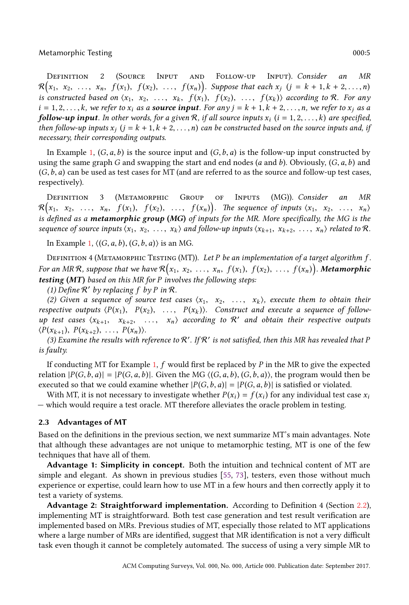Definition 2 (Source Input and Follow-up Input). Consider an MR  $\mathcal{R}(x_1, x_2, \ldots, x_n, f(x_1), f(x_2), \ldots, f(x_n)).$  Suppose that each  $x_j$   $(j = k + 1, k + 2, \ldots, n)$ <br>is constructed based on  $(x, x_1, x_2, \ldots, x_n)$   $f(x)$   $f(x)$   $f(x)$  assorbing to  $\mathcal{R}$ . For any is constructed based on  $\langle x_1, x_2, \ldots, x_k, f(x_1), f(x_2), \ldots, f(x_k) \rangle$  according to R. For any  $i = 1, 2, \ldots, k$ , we refer to  $x_i$  as a source input. For any  $j = k + 1, k + 2, \ldots, n$ , we refer to  $x_j$  as a **follow-up input**. In other words, for a given R, if all source inputs  $x_i$   $(i = 1, 2, ..., k)$  are specified, then follow-up inputs  $x_i$   $(i = k + 1, k + 2, ..., n)$  can be constructed based on the source inputs and if then follow-up inputs  $x_j$   $(j = k + 1, k + 2, \ldots, n)$  can be constructed based on the source inputs and, if<br>necessary their corresponding outputs necessary, their corresponding outputs.

In Example [1,](#page-3-1)  $(G, a, b)$  is the source input and  $(G, b, a)$  is the follow-up input constructed by using the same graph G and swapping the start and end nodes (a and b). Obviously,  $(G, a, b)$  and  $(G, b, a)$  can be used as test cases for MT (and are referred to as the source and follow-up test cases, respectively).

Definition 3 (Metamorphic Group of Inputs (MG)). Consider an MR  $\mathcal{R}(x_1, x_2, \ldots, x_n, f(x_1), f(x_2), \ldots, f(x_n)).$  The sequence of inputs  $\langle x_1, x_2, \ldots, x_n \rangle$ <br>is defined as a **matameribia group (MC)** of inputs for the MP. More specifically the MC is the is defined as a **metamorphic group (MG)** of inputs for the MR. More specifically, the MG is the sequence of source inputs  $\langle x_1, x_2, \ldots, x_k \rangle$  and follow-up inputs  $\langle x_{k+1}, x_{k+2}, \ldots, x_n \rangle$  related to R.

In Example [1,](#page-3-1)  $\langle (G, a, b), (G, b, a) \rangle$  is an MG.

DEFINITION 4 (METAMORPHIC TESTING (MT)). Let P be an implementation of a target algorithm  $f$ . For an MR R, suppose that we have  $\mathcal{R}(x_1, x_2, \ldots, x_n, f(x_1), f(x_2), \ldots, f(x_n))$ . Metamorphic<br>testing (MT) based on this MP for P involves the following states. testing (MT) based on this MR for P involves the following steps:

(1) Define  $\mathcal{R}'$  by replacing  $f$  by  $P$  in  $\mathcal{R}$ .<br>(2) Given a sequence of source test  $f$ .

(2) Given a sequence of source test cases  $\langle x_1, x_2, \ldots, x_k \rangle$ , execute them to obtain their respective outputs  $\langle P(x_1), P(x_2), \ldots, P(x_k) \rangle$ . Construct and execute a sequence of followup test cases  $\langle x_{k+1}, x_{k+2}, \ldots, x_n \rangle$  according to R' and obtain their respective outputs  $\langle P(x_{k+1}), P(x_{k+2}), \ldots, P(x_n) \rangle$  $\langle P(x_{k+1}), P(x_{k+2}), \ldots, P(x_n) \rangle$ .

(3) Examine the results with reference to  $R'$ . If  $R'$  is not satisfied, then this MR has revealed that P faulty is faulty.

If conducting MT for Example [1,](#page-3-1) f would first be replaced by P in the MR to give the expected relation  $|P(G, b, a)| = |P(G, a, b)|$ . Given the MG  $\langle (G, a, b), (G, b, a) \rangle$ , the program would then be executed so that we could examine whether  $|P(G, b, a)| = |P(G, a, b)|$  is satisfied or violated.

With MT, it is not necessary to investigate whether  $P(x_i) = f(x_i)$  for any individual test case  $x_i$ <br>which would require a test oracle. MT therefore alleviates the oracle problem in testing — which would require a test oracle. MT therefore alleviates the oracle problem in testing.

# <span id="page-4-0"></span>2.3 Advantages of MT

Based on the definitions in the previous section, we next summarize MT's main advantages. Note that although these advantages are not unique to metamorphic testing, MT is one of the few techniques that have all of them.

Advantage 1: Simplicity in concept. Both the intuition and technical content of MT are simple and elegant. As shown in previous studies [\[55,](#page-24-7) [73\]](#page-25-8), testers, even those without much experience or expertise, could learn how to use MT in a few hours and then correctly apply it to test a variety of systems.

Advantage 2: Straightforward implementation. According to Definition 4 (Section [2.2\)](#page-3-2), implementing MT is straightforward. Both test case generation and test result verification are implemented based on MRs. Previous studies of MT, especially those related to MT applications where a large number of MRs are identified, suggest that MR identification is not a very difficult task even though it cannot be completely automated. The success of using a very simple MR to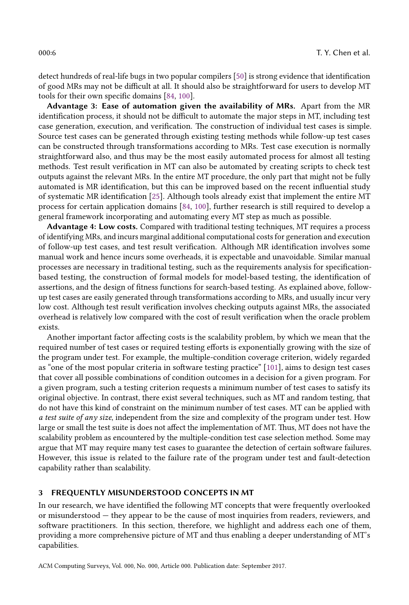detect hundreds of real-life bugs in two popular compilers  $[50]$  is strong evidence that identification of good MRs may not be difficult at all. It should also be straightforward for users to develop MT tools for their own specific domains  $[84, 100]$  $[84, 100]$  $[84, 100]$ .

Advantage 3: Ease of automation given the availability of MRs. Apart from the MR identification process, it should not be difficult to automate the major steps in MT, including test case generation, execution, and verification. The construction of individual test cases is simple. Source test cases can be generated through existing testing methods while follow-up test cases can be constructed through transformations according to MRs. Test case execution is normally straightforward also, and thus may be the most easily automated process for almost all testing methods. Test result verification in MT can also be automated by creating scripts to check test outputs against the relevant MRs. In the entire MT procedure, the only part that might not be fully automated is MR identification, but this can be improved based on the recent influential study of systematic MR identification [\[25\]](#page-23-9). Although tools already exist that implement the entire MT process for certain application domains [\[84,](#page-25-9) [100\]](#page-26-7), further research is still required to develop a general framework incorporating and automating every MT step as much as possible.

Advantage 4: Low costs. Compared with traditional testing techniques, MT requires a process of identifying MRs, and incurs marginal additional computational costs for generation and execution of follow-up test cases, and test result verification. Although MR identification involves some manual work and hence incurs some overheads, it is expectable and unavoidable. Similar manual processes are necessary in traditional testing, such as the requirements analysis for specificationbased testing, the construction of formal models for model-based testing, the identification of assertions, and the design of fitness functions for search-based testing. As explained above, followup test cases are easily generated through transformations according to MRs, and usually incur very low cost. Although test result verification involves checking outputs against MRs, the associated overhead is relatively low compared with the cost of result verification when the oracle problem exists.

Another important factor affecting costs is the scalability problem, by which we mean that the required number of test cases or required testing efforts is exponentially growing with the size of the program under test. For example, the multiple-condition coverage criterion, widely regarded as "one of the most popular criteria in software testing practice" [\[101\]](#page-26-1), aims to design test cases that cover all possible combinations of condition outcomes in a decision for a given program. For a given program, such a testing criterion requests a minimum number of test cases to satisfy its original objective. In contrast, there exist several techniques, such as MT and random testing, that do not have this kind of constraint on the minimum number of test cases. MT can be applied with a test suite of any size, independent from the size and complexity of the program under test. How large or small the test suite is does not affect the implementation of MT. Thus, MT does not have the scalability problem as encountered by the multiple-condition test case selection method. Some may argue that MT may require many test cases to guarantee the detection of certain software failures. However, this issue is related to the failure rate of the program under test and fault-detection capability rather than scalability.

# <span id="page-5-0"></span>3 FREQUENTLY MISUNDERSTOOD CONCEPTS IN MT

In our research, we have identified the following MT concepts that were frequently overlooked or misunderstood — they appear to be the cause of most inquiries from readers, reviewers, and software practitioners. In this section, therefore, we highlight and address each one of them, providing a more comprehensive picture of MT and thus enabling a deeper understanding of MT's capabilities.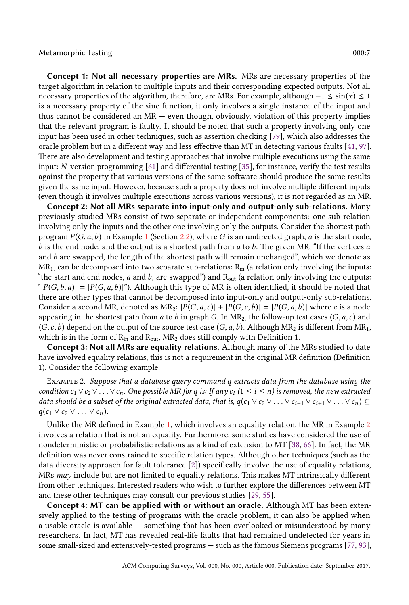Concept 1: Not all necessary properties are MRs. MRs are necessary properties of the target algorithm in relation to multiple inputs and their corresponding expected outputs. Not all necessary properties of the algorithm, therefore, are MRs. For example, although  $-1 \le \sin(x) \le 1$ is a necessary property of the sine function, it only involves a single instance of the input and thus cannot be considered an MR — even though, obviously, violation of this property implies that the relevant program is faulty. It should be noted that such a property involving only one input has been used in other techniques, such as assertion checking [\[79\]](#page-25-0), which also addresses the oracle problem but in a different way and less effective than MT in detecting various faults [\[41,](#page-23-14) [97\]](#page-26-8). There are also development and testing approaches that involve multiple executions using the same input: N-version programming  $[61]$  and differential testing  $[35]$ , for instance, verify the test results against the property that various versions of the same software should produce the same results given the same input. However, because such a property does not involve multiple different inputs (even though it involves multiple executions across various versions), it is not regarded as an MR.

Concept 2: Not all MRs separate into input-only and output-only sub-relations. Many previously studied MRs consist of two separate or independent components: one sub-relation involving only the inputs and the other one involving only the outputs. Consider the shortest path program  $P(G, a, b)$  in Example [1](#page-3-1) (Section [2.2\)](#page-3-2), where G is an undirected graph, a is the start node,  $b$  is the end node, and the output is a shortest path from  $a$  to  $b$ . The given MR, "If the vertices  $a$ and  $b$  are swapped, the length of the shortest path will remain unchanged", which we denote as  $MR_1$ , can be decomposed into two separate sub-relations:  $R_{in}$  (a relation only involving the inputs: "the start and end nodes,  $a$  and  $b$ , are swapped") and  $R_{out}$  (a relation only involving the outputs: " $|P(G,b,a)| = |P(G,a,b)|$ "). Although this type of MR is often identified, it should be noted that there are other types that cannot be decomposed into input-only and output-only sub-relations. Consider a second MR, denoted as MR<sub>2</sub>:  $|P(G, a, c)| + |P(G, c, b)| = |P(G, a, b)|$  where c is a node appearing in the shortest path from a to b in graph G. In  $MR_2$ , the follow-up test cases (G, a, c) and  $(G, c, b)$  depend on the output of the source test case  $(G, a, b)$ . Although MR<sub>2</sub> is different from MR<sub>1</sub>, which is in the form of  $R_{in}$  and  $R_{out}$ , MR<sub>2</sub> does still comply with Definition 1.

Concept 3: Not all MRs are equality relations. Although many of the MRs studied to date have involved equality relations, this is not a requirement in the original MR definition (Definition 1). Consider the following example.

<span id="page-6-0"></span>Example 2. Suppose that a database query command q extracts data from the database using the condition  $c_1 \vee c_2 \vee \ldots \vee c_n$ . One possible MR for q is: If any  $c_i$  ( $1 \le i \le n$ ) is removed, the new extracted data should be a subset of the original extracted data, that is,  $q(c_1 \vee c_2 \vee \ldots \vee c_{i-1} \vee c_{i+1} \vee \ldots \vee c_n) \subseteq$  $q(c_1 \vee c_2 \vee \ldots \vee c_n).$ 

Unlike the MR defined in Example [1,](#page-3-1) which involves an equality relation, the MR in Example  $2$ involves a relation that is not an equality. Furthermore, some studies have considered the use of nondeterministic or probabilistic relations as a kind of extension to MT [\[38,](#page-23-16) [66\]](#page-24-8). In fact, the MR definition was never constrained to specific relation types. Although other techniques (such as the data diversity approach for fault tolerance  $[2]$ ) specifically involve the use of equality relations, MRs may include but are not limited to equality relations. This makes MT intrinsically different from other techniques. Interested readers who wish to further explore the differences between MT and these other techniques may consult our previous studies [\[29,](#page-23-4) [55\]](#page-24-7).

Concept 4: MT can be applied with or without an oracle. Although MT has been extensively applied to the testing of programs with the oracle problem, it can also be applied when a usable oracle is available — something that has been overlooked or misunderstood by many researchers. In fact, MT has revealed real-life faults that had remained undetected for years in some small-sized and extensively-tested programs — such as the famous Siemens programs [\[77,](#page-25-1) [93\]](#page-26-2),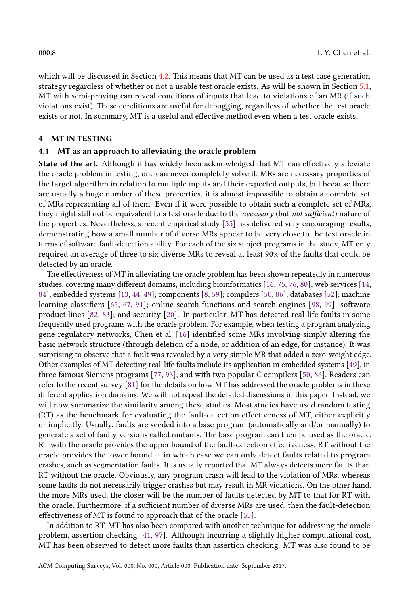which will be discussed in Section  $4.2$ . This means that MT can be used as a test case generation strategy regardless of whether or not a usable test oracle exists. As will be shown in Section [5.1,](#page-11-1) MT with semi-proving can reveal conditions of inputs that lead to violations of an MR (if such violations exist). These conditions are useful for debugging, regardless of whether the test oracle exists or not. In summary, MT is a useful and effective method even when a test oracle exists.

# <span id="page-7-0"></span>4 MT IN TESTING

### <span id="page-7-1"></span>4.1 MT as an approach to alleviating the oracle problem

State of the art. Although it has widely been acknowledged that MT can effectively alleviate the oracle problem in testing, one can never completely solve it. MRs are necessary properties of the target algorithm in relation to multiple inputs and their expected outputs, but because there are usually a huge number of these properties, it is almost impossible to obtain a complete set of MRs representing all of them. Even if it were possible to obtain such a complete set of MRs, they might still not be equivalent to a test oracle due to the *necessary* (but *not sufficient*) nature of the properties. Nevertheless, a recent empirical study [\[55\]](#page-24-7) has delivered very encouraging results, demonstrating how a small number of diverse MRs appear to be very close to the test oracle in terms of software fault-detection ability. For each of the six subject programs in the study, MT only required an average of three to six diverse MRs to reveal at least 90% of the faults that could be detected by an oracle.

The effectiveness of MT in alleviating the oracle problem has been shown repeatedly in numerous studies, covering many different domains, including bioinformatics  $[16, 75, 76, 80]$  $[16, 75, 76, 80]$  $[16, 75, 76, 80]$  $[16, 75, 76, 80]$  $[16, 75, 76, 80]$  $[16, 75, 76, 80]$  $[16, 75, 76, 80]$ ; web services  $[14, 16, 16]$  $[14, 16, 16]$ [84\]](#page-25-9); embedded systems [\[13,](#page-22-3) [44,](#page-23-17) [49\]](#page-24-9); components [\[8,](#page-22-2) [59\]](#page-24-10); compilers [\[50,](#page-24-1) [86\]](#page-25-13); databases [\[52\]](#page-24-3); machine learning classifiers  $[65, 67, 91]$  $[65, 67, 91]$  $[65, 67, 91]$  $[65, 67, 91]$  $[65, 67, 91]$ ; online search functions and search engines  $[98, 99]$  $[98, 99]$  $[98, 99]$ ; software product lines [\[82,](#page-25-14) [83\]](#page-25-3); and security [\[20\]](#page-22-6). In particular, MT has detected real-life faults in some frequently used programs with the oracle problem. For example, when testing a program analyzing gene regulatory networks, Chen et al. [\[16\]](#page-22-5) identified some MRs involving simply altering the basic network structure (through deletion of a node, or addition of an edge, for instance). It was surprising to observe that a fault was revealed by a very simple MR that added a zero-weight edge. Other examples of MT detecting real-life faults include its application in embedded systems [\[49\]](#page-24-9), in three famous Siemens programs [\[77,](#page-25-1) [93\]](#page-26-2), and with two popular C compilers [\[50,](#page-24-1) [86\]](#page-25-13). Readers can refer to the recent survey [\[81\]](#page-25-7) for the details on how MT has addressed the oracle problems in these different application domains. We will not repeat the detailed discussions in this paper. Instead, we will now summarize the similarity among these studies. Most studies have used random testing (RT) as the benchmark for evaluating the fault-detection effectiveness of MT, either explicitly or implicitly. Usually, faults are seeded into a base program (automatically and/or manually) to generate a set of faulty versions called mutants. The base program can then be used as the oracle. RT with the oracle provides the upper bound of the fault-detection effectiveness. RT without the oracle provides the lower bound  $-$  in which case we can only detect faults related to program crashes, such as segmentation faults. It is usually reported that MT always detects more faults than RT without the oracle. Obviously, any program crash will lead to the violation of MRs, whereas some faults do not necessarily trigger crashes but may result in MR violations. On the other hand, the more MRs used, the closer will be the number of faults detected by MT to that for RT with the oracle. Furthermore, if a sufficient number of diverse MRs are used, then the fault-detection effectiveness of MT is found to approach that of the oracle [\[55\]](#page-24-7).

In addition to RT, MT has also been compared with another technique for addressing the oracle problem, assertion checking [\[41,](#page-23-14) [97\]](#page-26-8). Although incurring a slightly higher computational cost, MT has been observed to detect more faults than assertion checking. MT was also found to be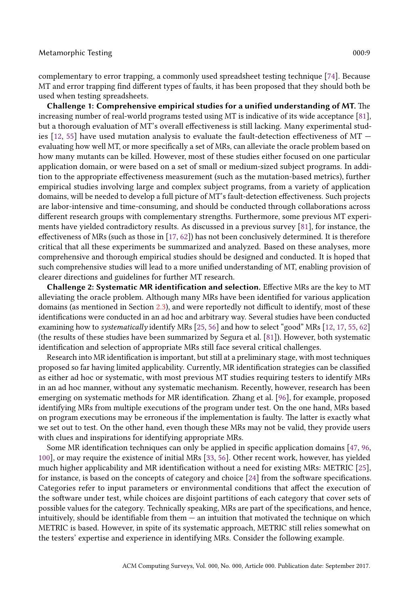complementary to error trapping, a commonly used spreadsheet testing technique [\[74\]](#page-25-15). Because MT and error trapping find different types of faults, it has been proposed that they should both be used when testing spreadsheets.

Challenge 1: Comprehensive empirical studies for a unified understanding of MT. The increasing number of real-world programs tested using MT is indicative of its wide acceptance [\[81\]](#page-25-7), but a thorough evaluation of MT's overall effectiveness is still lacking. Many experimental studies  $[12, 55]$  $[12, 55]$  $[12, 55]$  have used mutation analysis to evaluate the fault-detection effectiveness of MT – evaluating how well MT, or more specifically a set of MRs, can alleviate the oracle problem based on how many mutants can be killed. However, most of these studies either focused on one particular application domain, or were based on a set of small or medium-sized subject programs. In addition to the appropriate effectiveness measurement (such as the mutation-based metrics), further empirical studies involving large and complex subject programs, from a variety of application domains, will be needed to develop a full picture of MT's fault-detection effectiveness. Such projects are labor-intensive and time-consuming, and should be conducted through collaborations across different research groups with complementary strengths. Furthermore, some previous MT experiments have yielded contradictory results. As discussed in a previous survey [\[81\]](#page-25-7), for instance, the effectiveness of MRs (such as those in [\[17,](#page-22-12) [62\]](#page-24-13)) has not been conclusively determined. It is therefore critical that all these experiments be summarized and analyzed. Based on these analyses, more comprehensive and thorough empirical studies should be designed and conducted. It is hoped that such comprehensive studies will lead to a more unified understanding of MT, enabling provision of clearer directions and guidelines for further MT research.

Challenge 2: Systematic MR identification and selection. Effective MRs are the key to MT alleviating the oracle problem. Although many MRs have been identified for various application domains (as mentioned in Section [2.3\)](#page-4-0), and were reportedly not difficult to identify, most of these identifications were conducted in an ad hoc and arbitrary way. Several studies have been conducted examining how to systematically identify MRs [\[25,](#page-23-9) [56\]](#page-24-14) and how to select "good" MRs [\[12,](#page-22-11) [17,](#page-22-12) [55,](#page-24-7) [62\]](#page-24-13) (the results of these studies have been summarized by Segura et al. [\[81\]](#page-25-7)). However, both systematic identification and selection of appropriate MRs still face several critical challenges.

Research into MR identification is important, but still at a preliminary stage, with most techniques proposed so far having limited applicability. Currently, MR identification strategies can be classified as either ad hoc or systematic, with most previous MT studies requiring testers to identify MRs in an ad hoc manner, without any systematic mechanism. Recently, however, research has been emerging on systematic methods for MR identification. Zhang et al. [\[96\]](#page-26-6), for example, proposed identifying MRs from multiple executions of the program under test. On the one hand, MRs based on program executions may be erroneous if the implementation is faulty. The latter is exactly what we set out to test. On the other hand, even though these MRs may not be valid, they provide users with clues and inspirations for identifying appropriate MRs.

Some MR identification techniques can only be applied in specific application domains  $[47, 96, 66]$  $[47, 96, 66]$  $[47, 96, 66]$  $[47, 96, 66]$ [100\]](#page-26-7), or may require the existence of initial MRs [\[33,](#page-23-18) [56\]](#page-24-14). Other recent work, however, has yielded much higher applicability and MR identification without a need for existing MRs: METRIC [\[25\]](#page-23-9), for instance, is based on the concepts of category and choice  $[24]$  from the software specifications. Categories refer to input parameters or environmental conditions that affect the execution of the software under test, while choices are disjoint partitions of each category that cover sets of possible values for the category. Technically speaking, MRs are part of the specifications, and hence, intuitively, should be identifiable from them  $-$  an intuition that motivated the technique on which METRIC is based. However, in spite of its systematic approach, METRIC still relies somewhat on the testers' expertise and experience in identifying MRs. Consider the following example.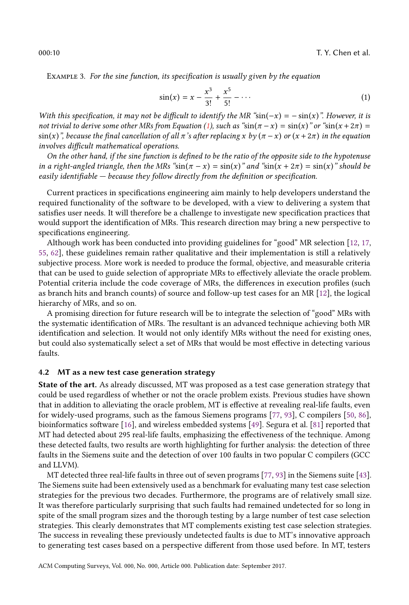EXAMPLE 3. For the sine function, its specification is usually given by the equation

<span id="page-9-1"></span>
$$
\sin(x) = x - \frac{x^3}{3!} + \frac{x^5}{5!} - \cdots
$$
 (1)

With this specification, it may not be difficult to identify the MR "sin(-x) =  $-\sin(x)$ ". However, it is not trivial to derive some other MRs from Equation [\(1\)](#page-9-1), such as " $\sin(\pi - x) = \sin(x)$ " or " $\sin(x + 2\pi) =$  $\sin(x)$ ", because the final cancellation of all  $\pi$ 's after replacing x by ( $\pi - x$ ) or ( $x + 2\pi$ ) in the equation involves difficult mathematical operations.

On the other hand, if the sine function is defined to be the ratio of the opposite side to the hypotenuse in a right-angled triangle, then the MRs " $\sin(\pi - x) = \sin(x)^{n}$  and " $\sin(x + 2\pi) = \sin(x)^{n}$  should be easily identifiable  $-$  because they follow directly from the definition or specification.

Current practices in specifications engineering aim mainly to help developers understand the required functionality of the software to be developed, with a view to delivering a system that satisfies user needs. It will therefore be a challenge to investigate new specification practices that would support the identification of MRs. This research direction may bring a new perspective to specifications engineering.

Although work has been conducted into providing guidelines for "good" MR selection [\[12,](#page-22-11) [17,](#page-22-12) [55,](#page-24-7) [62\]](#page-24-13), these guidelines remain rather qualitative and their implementation is still a relatively subjective process. More work is needed to produce the formal, objective, and measurable criteria that can be used to guide selection of appropriate MRs to effectively alleviate the oracle problem. Potential criteria include the code coverage of MRs, the differences in execution profiles (such as branch hits and branch counts) of source and follow-up test cases for an MR [\[12\]](#page-22-11), the logical hierarchy of MRs, and so on.

A promising direction for future research will be to integrate the selection of "good" MRs with the systematic identification of MRs. The resultant is an advanced technique achieving both MR identification and selection. It would not only identify MRs without the need for existing ones, but could also systematically select a set of MRs that would be most effective in detecting various faults.

## <span id="page-9-0"></span>4.2 MT as a new test case generation strategy

State of the art. As already discussed, MT was proposed as a test case generation strategy that could be used regardless of whether or not the oracle problem exists. Previous studies have shown that in addition to alleviating the oracle problem, MT is effective at revealing real-life faults, even for widely-used programs, such as the famous Siemens programs [\[77,](#page-25-1) [93\]](#page-26-2), C compilers [\[50,](#page-24-1) [86\]](#page-25-13), bioinformatics software [\[16\]](#page-22-5), and wireless embedded systems [\[49\]](#page-24-9). Segura et al. [\[81\]](#page-25-7) reported that MT had detected about 295 real-life faults, emphasizing the effectiveness of the technique. Among these detected faults, two results are worth highlighting for further analysis: the detection of three faults in the Siemens suite and the detection of over 100 faults in two popular C compilers (GCC and LLVM).

MT detected three real-life faults in three out of seven programs [\[77,](#page-25-1) [93\]](#page-26-2) in the Siemens suite [\[43\]](#page-23-2). The Siemens suite had been extensively used as a benchmark for evaluating many test case selection strategies for the previous two decades. Furthermore, the programs are of relatively small size. It was therefore particularly surprising that such faults had remained undetected for so long in spite of the small program sizes and the thorough testing by a large number of test case selection strategies. This clearly demonstrates that MT complements existing test case selection strategies. The success in revealing these previously undetected faults is due to MT's innovative approach to generating test cases based on a perspective different from those used before. In MT, testers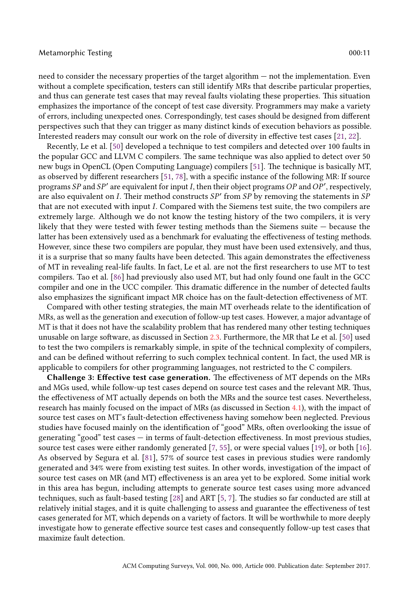need to consider the necessary properties of the target algorithm — not the implementation. Even without a complete specification, testers can still identify MRs that describe particular properties, and thus can generate test cases that may reveal faults violating these properties. This situation emphasizes the importance of the concept of test case diversity. Programmers may make a variety of errors, including unexpected ones. Correspondingly, test cases should be designed from different perspectives such that they can trigger as many distinct kinds of execution behaviors as possible. Interested readers may consult our work on the role of diversity in effective test cases  $[21, 22]$  $[21, 22]$  $[21, 22]$ .

Recently, Le et al. [\[50\]](#page-24-1) developed a technique to test compilers and detected over 100 faults in the popular GCC and LLVM C compilers. The same technique was also applied to detect over 50 new bugs in OpenCL (Open Computing Language) compilers [\[51\]](#page-24-2). The technique is basically MT, as observed by different researchers [\[51,](#page-24-2) [78\]](#page-25-2), with a specific instance of the following MR: If source programs SP and SP' are equivalent for input I, then their object programs OP and OP', respectively,<br>are also equivalent on I. Their method constructs SP' from SP by removing the statements in SP are also equivalent on *I*. Their method constructs  $SP'$  from  $SP$  by removing the statements in  $SP$ <br>that are not executed with input *I*. Compared with the Siemens test suite, the two compilers are that are not executed with input I. Compared with the Siemens test suite, the two compilers are extremely large. Although we do not know the testing history of the two compilers, it is very likely that they were tested with fewer testing methods than the Siemens suite — because the latter has been extensively used as a benchmark for evaluating the effectiveness of testing methods. However, since these two compilers are popular, they must have been used extensively, and thus, it is a surprise that so many faults have been detected. This again demonstrates the effectiveness of MT in revealing real-life faults. In fact, Le et al. are not the first researchers to use MT to test compilers. Tao et al. [\[86\]](#page-25-13) had previously also used MT, but had only found one fault in the GCC compiler and one in the UCC compiler. This dramatic difference in the number of detected faults also emphasizes the significant impact MR choice has on the fault-detection effectiveness of MT.

Compared with other testing strategies, the main MT overheads relate to the identification of MRs, as well as the generation and execution of follow-up test cases. However, a major advantage of MT is that it does not have the scalability problem that has rendered many other testing techniques unusable on large software, as discussed in Section [2.3.](#page-4-0) Furthermore, the MR that Le et al. [\[50\]](#page-24-1) used to test the two compilers is remarkably simple, in spite of the technical complexity of compilers, and can be defined without referring to such complex technical content. In fact, the used MR is applicable to compilers for other programming languages, not restricted to the C compilers.

Challenge 3: Effective test case generation. The effectiveness of MT depends on the MRs and MGs used, while follow-up test cases depend on source test cases and the relevant MR. Thus, the effectiveness of MT actually depends on both the MRs and the source test cases. Nevertheless, research has mainly focused on the impact of MRs (as discussed in Section [4.1\)](#page-7-1), with the impact of source test cases on MT's fault-detection effectiveness having somehow been neglected. Previous studies have focused mainly on the identification of "good" MRs, often overlooking the issue of generating "good" test cases  $-$  in terms of fault-detection effectiveness. In most previous studies, source test cases were either randomly generated [\[7,](#page-22-14) [55\]](#page-24-7), or were special values [\[19\]](#page-22-15), or both [\[16\]](#page-22-5). As observed by Segura et al. [\[81\]](#page-25-7), 57% of source test cases in previous studies were randomly generated and 34% were from existing test suites. In other words, investigation of the impact of source test cases on MR (and MT) effectiveness is an area yet to be explored. Some initial work in this area has begun, including attempts to generate source test cases using more advanced techniques, such as fault-based testing  $[28]$  and ART  $[5, 7]$  $[5, 7]$  $[5, 7]$ . The studies so far conducted are still at relatively initial stages, and it is quite challenging to assess and guarantee the effectiveness of test cases generated for MT, which depends on a variety of factors. It will be worthwhile to more deeply investigate how to generate effective source test cases and consequently follow-up test cases that maximize fault detection.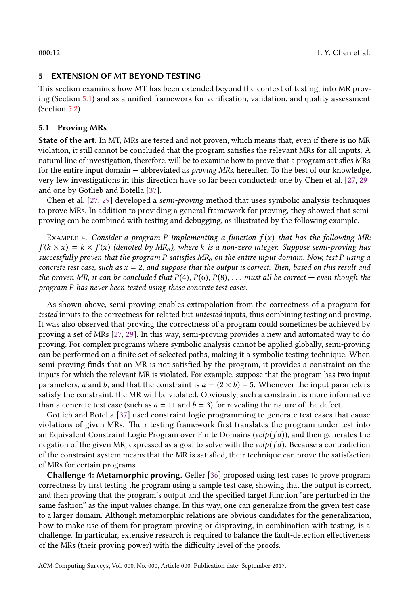# <span id="page-11-0"></span>5 EXTENSION OF MT BEYOND TESTING

This section examines how MT has been extended beyond the context of testing, into MR proving (Section  $5.1$ ) and as a unified framework for verification, validation, and quality assessment (Section [5.2\)](#page-12-0).

# <span id="page-11-1"></span>5.1 Proving MRs

State of the art. In MT, MRs are tested and not proven, which means that, even if there is no MR violation, it still cannot be concluded that the program satisfies the relevant MRs for all inputs. A natural line of investigation, therefore, will be to examine how to prove that a program satisfies MRs for the entire input domain  $-$  abbreviated as *proving MRs*, hereafter. To the best of our knowledge, very few investigations in this direction have so far been conducted: one by Chen et al. [\[27,](#page-23-3) [29\]](#page-23-4) and one by Gotlieb and Botella [\[37\]](#page-23-11).

Chen et al. [\[27,](#page-23-3) [29\]](#page-23-4) developed a semi-proving method that uses symbolic analysis techniques to prove MRs. In addition to providing a general framework for proving, they showed that semiproving can be combined with testing and debugging, as illustrated by the following example.

<span id="page-11-2"></span>EXAMPLE 4. Consider a program P implementing a function  $f(x)$  that has the following MR:  $f(k \times x) = k \times f(x)$  (denoted by MR<sub>o</sub>), where k is a non-zero integer. Suppose semi-proving has successfully proven that the program P satisfies  $MR<sub>o</sub>$  on the entire input domain. Now, test P using a concrete test case, such as  $x = 2$ , and suppose that the output is correct. Then, based on this result and the proven MR, it can be concluded that  $P(4)$ ,  $P(6)$ ,  $P(8)$ , ... must all be correct — even though the program P has never been tested using these concrete test cases.

As shown above, semi-proving enables extrapolation from the correctness of a program for tested inputs to the correctness for related but untested inputs, thus combining testing and proving. It was also observed that proving the correctness of a program could sometimes be achieved by proving a set of MRs [\[27,](#page-23-3) [29\]](#page-23-4). In this way, semi-proving provides a new and automated way to do proving. For complex programs where symbolic analysis cannot be applied globally, semi-proving can be performed on a finite set of selected paths, making it a symbolic testing technique. When semi-proving finds that an MR is not satisfied by the program, it provides a constraint on the inputs for which the relevant MR is violated. For example, suppose that the program has two input parameters, a and b, and that the constraint is  $a = (2 \times b) + 5$ . Whenever the input parameters satisfy the constraint, the MR will be violated. Obviously, such a constraint is more informative than a concrete test case (such as  $a = 11$  and  $b = 3$ ) for revealing the nature of the defect.

Gotlieb and Botella [\[37\]](#page-23-11) used constraint logic programming to generate test cases that cause violations of given MRs. Their testing framework first translates the program under test into an Equivalent Constraint Logic Program over Finite Domains ( $eclp(f d)$ ), and then generates the negation of the given MR, expressed as a goal to solve with the  $eclp(fd)$ . Because a contradiction of the constraint system means that the MR is satised, their technique can prove the satisfaction of MRs for certain programs.

Challenge 4: Metamorphic proving. Geller [\[36\]](#page-23-21) proposed using test cases to prove program correctness by first testing the program using a sample test case, showing that the output is correct, and then proving that the program's output and the specified target function "are perturbed in the same fashion" as the input values change. In this way, one can generalize from the given test case to a larger domain. Although metamorphic relations are obvious candidates for the generalization, how to make use of them for program proving or disproving, in combination with testing, is a challenge. In particular, extensive research is required to balance the fault-detection effectiveness of the MRs (their proving power) with the difficulty level of the proofs.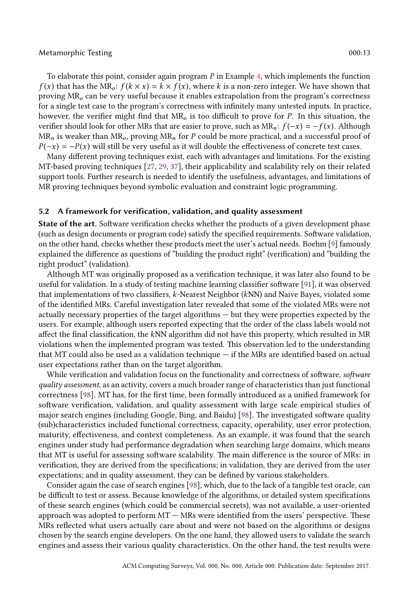To elaborate this point, consider again program  $P$  in Example [4,](#page-11-2) which implements the function  $f(x)$  that has the MR<sub>o</sub>:  $f(k \times x) = k \times f(x)$ , where k is a non-zero integer. We have shown that proving  $MR<sub>o</sub>$  can be very useful because it enables extrapolation from the program's correctness for a single test case to the program's correctness with infinitely many untested inputs. In practice, however, the verifier might find that  $MR<sub>o</sub>$  is too difficult to prove for P. In this situation, the verifier should look for other MRs that are easier to prove, such as  $MR_n: f(-x) = -f(x)$ . Although  $MR_n$  is weaker than  $MR_o$ , proving  $MR_n$  for P could be more practical, and a successful proof of  $P(-x) = -P(x)$  will still be very useful as it will double the effectiveness of concrete test cases.

Many different proving techniques exist, each with advantages and limitations. For the existing MT-based proving techniques [\[27,](#page-23-3) [29,](#page-23-4) [37\]](#page-23-11), their applicability and scalability rely on their related support tools. Further research is needed to identify the usefulness, advantages, and limitations of MR proving techniques beyond symbolic evaluation and constraint logic programming.

#### <span id="page-12-0"></span>5.2 A framework for verification, validation, and quality assessment

State of the art. Software verification checks whether the products of a given development phase (such as design documents or program code) satisfy the specified requirements. Software validation, on the other hand, checks whether these products meet the user's actual needs. Boehm [\[9\]](#page-22-17) famously explained the difference as questions of "building the product right" (verification) and "building the right product" (validation).

Although MT was originally proposed as a verification technique, it was later also found to be useful for validation. In a study of testing machine learning classifier software [\[91\]](#page-25-4), it was observed that implementations of two classifiers,  $k$ -Nearest Neighbor  $(kNN)$  and Naive Bayes, violated some of the identified MRs. Careful investigation later revealed that some of the violated MRs were not actually necessary properties of the target algorithms — but they were properties expected by the users. For example, although users reported expecting that the order of the class labels would not affect the final classification, the  $kNN$  algorithm did not have this property, which resulted in MR violations when the implemented program was tested. This observation led to the understanding that MT could also be used as a validation technique  $-$  if the MRs are identified based on actual user expectations rather than on the target algorithm.

While verification and validation focus on the functionality and correctness of software, software quality assessment, as an activity, covers a much broader range of characteristics than just functional correctness [\[98\]](#page-26-5). MT has, for the first time, been formally introduced as a unified framework for software verification, validation, and quality assessment with large scale empirical studies of major search engines (including Google, Bing, and Baidu) [\[98\]](#page-26-5). The investigated software quality (sub)characteristics included functional correctness, capacity, operability, user error protection, maturity, effectiveness, and context completeness. As an example, it was found that the search engines under study had performance degradation when searching large domains, which means that MT is useful for assessing software scalability. The main difference is the source of MRs: in verification, they are derived from the specifications; in validation, they are derived from the user expectations; and in quality assessment, they can be dened by various stakeholders.

Consider again the case of search engines [\[98\]](#page-26-5), which, due to the lack of a tangible test oracle, can be difficult to test or assess. Because knowledge of the algorithms, or detailed system specifications of these search engines (which could be commercial secrets), was not available, a user-oriented approach was adopted to perform  $MT - MR$ s were identified from the users' perspective. These MRs reflected what users actually care about and were not based on the algorithms or designs chosen by the search engine developers. On the one hand, they allowed users to validate the search engines and assess their various quality characteristics. On the other hand, the test results were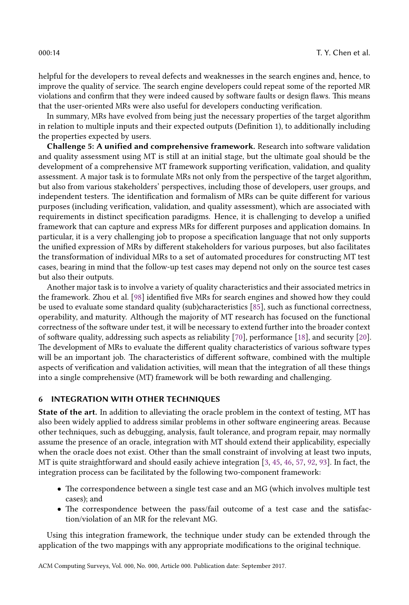helpful for the developers to reveal defects and weaknesses in the search engines and, hence, to improve the quality of service. The search engine developers could repeat some of the reported MR violations and confirm that they were indeed caused by software faults or design flaws. This means that the user-oriented MRs were also useful for developers conducting verification.

In summary, MRs have evolved from being just the necessary properties of the target algorithm in relation to multiple inputs and their expected outputs (Definition 1), to additionally including the properties expected by users.

Challenge 5: A unified and comprehensive framework. Research into software validation and quality assessment using MT is still at an initial stage, but the ultimate goal should be the development of a comprehensive MT framework supporting verification, validation, and quality assessment. A major task is to formulate MRs not only from the perspective of the target algorithm, but also from various stakeholders' perspectives, including those of developers, user groups, and independent testers. The identification and formalism of MRs can be quite different for various purposes (including verification, validation, and quality assessment), which are associated with requirements in distinct specification paradigms. Hence, it is challenging to develop a unified framework that can capture and express MRs for different purposes and application domains. In particular, it is a very challenging job to propose a specification language that not only supports the unified expression of MRs by different stakeholders for various purposes, but also facilitates the transformation of individual MRs to a set of automated procedures for constructing MT test cases, bearing in mind that the follow-up test cases may depend not only on the source test cases but also their outputs.

Another major task is to involve a variety of quality characteristics and their associated metrics in the framework. Zhou et al. [\[98\]](#page-26-5) identified five MRs for search engines and showed how they could be used to evaluate some standard quality (sub)characteristics [\[85\]](#page-25-16), such as functional correctness, operability, and maturity. Although the majority of MT research has focused on the functional correctness of the software under test, it will be necessary to extend further into the broader context of software quality, addressing such aspects as reliability [\[70\]](#page-25-17), performance [\[18\]](#page-22-18), and security [\[20\]](#page-22-6). The development of MRs to evaluate the different quality characteristics of various software types will be an important job. The characteristics of different software, combined with the multiple aspects of verification and validation activities, will mean that the integration of all these things into a single comprehensive (MT) framework will be both rewarding and challenging.

# <span id="page-13-0"></span>6 INTEGRATION WITH OTHER TECHNIQUES

State of the art. In addition to alleviating the oracle problem in the context of testing, MT has also been widely applied to address similar problems in other software engineering areas. Because other techniques, such as debugging, analysis, fault tolerance, and program repair, may normally assume the presence of an oracle, integration with MT should extend their applicability, especially when the oracle does not exist. Other than the small constraint of involving at least two inputs, MT is quite straightforward and should easily achieve integration [\[3,](#page-22-7) [45,](#page-23-5) [46,](#page-23-6) [57,](#page-24-4) [92,](#page-26-4) [93\]](#page-26-2). In fact, the integration process can be facilitated by the following two-component framework:

- The correspondence between a single test case and an MG (which involves multiple test cases); and
- The correspondence between the pass/fail outcome of a test case and the satisfaction/violation of an MR for the relevant MG.

Using this integration framework, the technique under study can be extended through the application of the two mappings with any appropriate modifications to the original technique.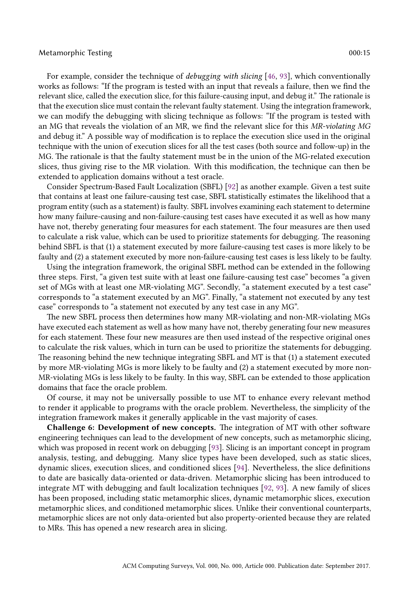For example, consider the technique of *debugging with slicing* [\[46,](#page-23-6) [93\]](#page-26-2), which conventionally works as follows: "If the program is tested with an input that reveals a failure, then we find the relevant slice, called the execution slice, for this failure-causing input, and debug it." The rationale is that the execution slice must contain the relevant faulty statement. Using the integration framework, we can modify the debugging with slicing technique as follows: "If the program is tested with an MG that reveals the violation of an MR, we find the relevant slice for this MR-violating MG and debug it." A possible way of modification is to replace the execution slice used in the original technique with the union of execution slices for all the test cases (both source and follow-up) in the MG. The rationale is that the faulty statement must be in the union of the MG-related execution slices, thus giving rise to the MR violation. With this modification, the technique can then be extended to application domains without a test oracle.

Consider Spectrum-Based Fault Localization (SBFL) [\[92\]](#page-26-4) as another example. Given a test suite that contains at least one failure-causing test case, SBFL statistically estimates the likelihood that a program entity (such as a statement) is faulty. SBFL involves examining each statement to determine how many failure-causing and non-failure-causing test cases have executed it as well as how many have not, thereby generating four measures for each statement. The four measures are then used to calculate a risk value, which can be used to prioritize statements for debugging. The reasoning behind SBFL is that (1) a statement executed by more failure-causing test cases is more likely to be faulty and (2) a statement executed by more non-failure-causing test cases is less likely to be faulty.

Using the integration framework, the original SBFL method can be extended in the following three steps. First, "a given test suite with at least one failure-causing test case" becomes "a given set of MGs with at least one MR-violating MG". Secondly, "a statement executed by a test case" corresponds to "a statement executed by an MG". Finally, "a statement not executed by any test case" corresponds to "a statement not executed by any test case in any MG".

The new SBFL process then determines how many MR-violating and non-MR-violating MGs have executed each statement as well as how many have not, thereby generating four new measures for each statement. These four new measures are then used instead of the respective original ones to calculate the risk values, which in turn can be used to prioritize the statements for debugging. The reasoning behind the new technique integrating SBFL and MT is that (1) a statement executed by more MR-violating MGs is more likely to be faulty and (2) a statement executed by more non-MR-violating MGs is less likely to be faulty. In this way, SBFL can be extended to those application domains that face the oracle problem.

Of course, it may not be universally possible to use MT to enhance every relevant method to render it applicable to programs with the oracle problem. Nevertheless, the simplicity of the integration framework makes it generally applicable in the vast majority of cases.

Challenge 6: Development of new concepts. The integration of MT with other software engineering techniques can lead to the development of new concepts, such as metamorphic slicing, which was proposed in recent work on debugging [\[93\]](#page-26-2). Slicing is an important concept in program analysis, testing, and debugging. Many slice types have been developed, such as static slices, dynamic slices, execution slices, and conditioned slices  $[94]$ . Nevertheless, the slice definitions to date are basically data-oriented or data-driven. Metamorphic slicing has been introduced to integrate MT with debugging and fault localization techniques [\[92,](#page-26-4) [93\]](#page-26-2). A new family of slices has been proposed, including static metamorphic slices, dynamic metamorphic slices, execution metamorphic slices, and conditioned metamorphic slices. Unlike their conventional counterparts, metamorphic slices are not only data-oriented but also property-oriented because they are related to MRs. This has opened a new research area in slicing.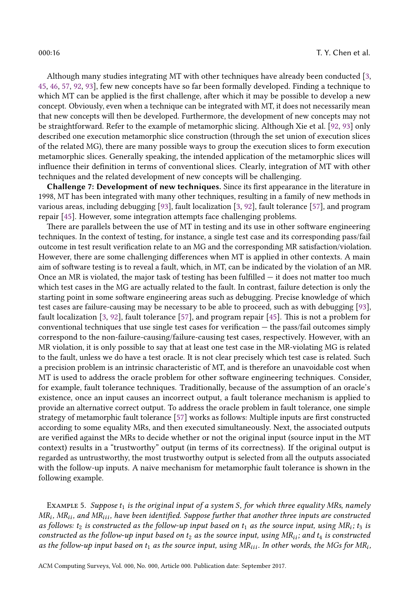Although many studies integrating MT with other techniques have already been conducted [\[3,](#page-22-7) [45,](#page-23-5) [46,](#page-23-6) [57,](#page-24-4) [92,](#page-26-4) [93\]](#page-26-2), few new concepts have so far been formally developed. Finding a technique to which MT can be applied is the first challenge, after which it may be possible to develop a new concept. Obviously, even when a technique can be integrated with MT, it does not necessarily mean that new concepts will then be developed. Furthermore, the development of new concepts may not be straightforward. Refer to the example of metamorphic slicing. Although Xie et al. [\[92,](#page-26-4) [93\]](#page-26-2) only described one execution metamorphic slice construction (through the set union of execution slices of the related MG), there are many possible ways to group the execution slices to form execution metamorphic slices. Generally speaking, the intended application of the metamorphic slices will

techniques and the related development of new concepts will be challenging.

Challenge 7: Development of new techniques. Since its first appearance in the literature in 1998, MT has been integrated with many other techniques, resulting in a family of new methods in various areas, including debugging [\[93\]](#page-26-2), fault localization [\[3,](#page-22-7) [92\]](#page-26-4), fault tolerance [\[57\]](#page-24-4), and program repair [\[45\]](#page-23-5). However, some integration attempts face challenging problems.

influence their definition in terms of conventional slices. Clearly, integration of MT with other

There are parallels between the use of MT in testing and its use in other software engineering techniques. In the context of testing, for instance, a single test case and its corresponding pass/fail outcome in test result verification relate to an MG and the corresponding MR satisfaction/violation. However, there are some challenging differences when MT is applied in other contexts. A main aim of software testing is to reveal a fault, which, in MT, can be indicated by the violation of an MR. Once an MR is violated, the major task of testing has been fulfilled  $-$  it does not matter too much which test cases in the MG are actually related to the fault. In contrast, failure detection is only the starting point in some software engineering areas such as debugging. Precise knowledge of which test cases are failure-causing may be necessary to be able to proceed, such as with debugging [\[93\]](#page-26-2), fault localization  $[3, 92]$  $[3, 92]$  $[3, 92]$ , fault tolerance  $[57]$ , and program repair  $[45]$ . This is not a problem for conventional techniques that use single test cases for verification  $-$  the pass/fail outcomes simply correspond to the non-failure-causing/failure-causing test cases, respectively. However, with an MR violation, it is only possible to say that at least one test case in the MR-violating MG is related to the fault, unless we do have a test oracle. It is not clear precisely which test case is related. Such a precision problem is an intrinsic characteristic of MT, and is therefore an unavoidable cost when MT is used to address the oracle problem for other software engineering techniques. Consider, for example, fault tolerance techniques. Traditionally, because of the assumption of an oracle's existence, once an input causes an incorrect output, a fault tolerance mechanism is applied to provide an alternative correct output. To address the oracle problem in fault tolerance, one simple strategy of metamorphic fault tolerance [\[57\]](#page-24-4) works as follows: Multiple inputs are first constructed according to some equality MRs, and then executed simultaneously. Next, the associated outputs are verified against the MRs to decide whether or not the original input (source input in the MT context) results in a "trustworthy" output (in terms of its correctness). If the original output is regarded as untrustworthy, the most trustworthy output is selected from all the outputs associated with the follow-up inputs. A naive mechanism for metamorphic fault tolerance is shown in the following example.

EXAMPLE 5. Suppose  $t_1$  is the original input of a system S, for which three equality MRs, namely  $\textit{MR}_i, \textit{MR}_{ii},$  and  $\textit{MR}_{iii},$  have been identified. Suppose further that another three inputs are constructed as follows:  $t_2$  is constructed as the follow-up input based on  $t_1$  as the source input, using  $MR_i$ ;  $t_3$  is<br>constructed as the follow-up input based on  $t_2$  as the source input, using  $MR_i \cdot$ ; and  $t_4$  is constructe constructed as the follow-up input based on  $t_2$  as the source input, using  $MR_{ii}$ ; and  $t_4$  is constructed as the follow-up input based on  $t_1$  as the source input, using  $MR_{iii}$ . In other words, the MGs for MR<sub>i</sub>,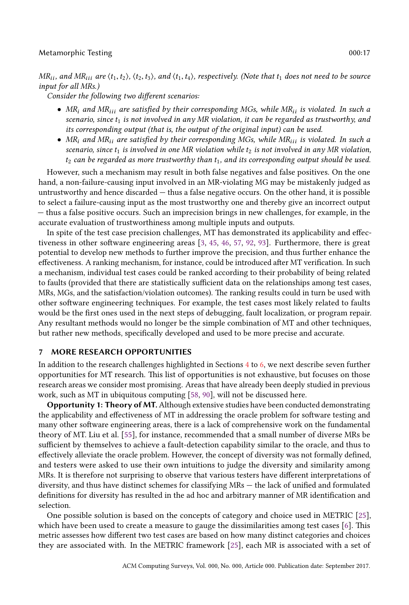$MR_{ii}$ , and  $MR_{iii}$  are  $\langle t_1,t_2\rangle$ ,  $\langle t_2,t_3\rangle$ , and  $\langle t_1,t_4\rangle$ , respectively. (Note that  $t_1$  does not need to be source input for all MRs.)

Consider the following two different scenarios:

- $MR_i$  and  $MR_{iii}$  are satisfied by their corresponding MGs, while  $MR_{ii}$  is violated. In such a scenario, since  $t_1$  is not involved in any MR violation, it can be regarded as trustworthy, and its corresponding output (that is, the output of the original input) can be used.
- $MR_i$  and  $MR_{ii}$  are satisfied by their corresponding MGs, while  $MR_{iii}$  is violated. In such a scenario, since  $t_1$  is involved in one MR violation while  $t_2$  is not involved in any MR violation,  $t_2$  can be regarded as more trustworthy than  $t_1$ , and its corresponding output should be used.

However, such a mechanism may result in both false negatives and false positives. On the one hand, a non-failure-causing input involved in an MR-violating MG may be mistakenly judged as untrustworthy and hence discarded — thus a false negative occurs. On the other hand, it is possible to select a failure-causing input as the most trustworthy one and thereby give an incorrect output — thus a false positive occurs. Such an imprecision brings in new challenges, for example, in the accurate evaluation of trustworthiness among multiple inputs and outputs.

In spite of the test case precision challenges, MT has demonstrated its applicability and effectiveness in other software engineering areas  $[3, 45, 46, 57, 92, 93]$  $[3, 45, 46, 57, 92, 93]$  $[3, 45, 46, 57, 92, 93]$  $[3, 45, 46, 57, 92, 93]$  $[3, 45, 46, 57, 92, 93]$  $[3, 45, 46, 57, 92, 93]$  $[3, 45, 46, 57, 92, 93]$  $[3, 45, 46, 57, 92, 93]$  $[3, 45, 46, 57, 92, 93]$  $[3, 45, 46, 57, 92, 93]$  $[3, 45, 46, 57, 92, 93]$ . Furthermore, there is great potential to develop new methods to further improve the precision, and thus further enhance the effectiveness. A ranking mechanism, for instance, could be introduced after MT verification. In such a mechanism, individual test cases could be ranked according to their probability of being related to faults (provided that there are statistically sufficient data on the relationships among test cases, MRs, MGs, and the satisfaction/violation outcomes). The ranking results could in turn be used with other software engineering techniques. For example, the test cases most likely related to faults would be the first ones used in the next steps of debugging, fault localization, or program repair. Any resultant methods would no longer be the simple combination of MT and other techniques, but rather new methods, specifically developed and used to be more precise and accurate.

# <span id="page-16-0"></span>7 MORE RESEARCH OPPORTUNITIES

In addition to the research challenges highlighted in Sections [4](#page-7-0) to [6,](#page-13-0) we next describe seven further opportunities for MT research. This list of opportunities is not exhaustive, but focuses on those research areas we consider most promising. Areas that have already been deeply studied in previous work, such as MT in ubiquitous computing [\[58,](#page-24-15) [90\]](#page-25-18), will not be discussed here.

Opportunity 1: Theory of MT. Although extensive studies have been conducted demonstrating the applicability and effectiveness of MT in addressing the oracle problem for software testing and many other software engineering areas, there is a lack of comprehensive work on the fundamental theory of MT. Liu et al. [\[55\]](#page-24-7), for instance, recommended that a small number of diverse MRs be sufficient by themselves to achieve a fault-detection capability similar to the oracle, and thus to effectively alleviate the oracle problem. However, the concept of diversity was not formally defined, and testers were asked to use their own intuitions to judge the diversity and similarity among MRs. It is therefore not surprising to observe that various testers have different interpretations of diversity, and thus have distinct schemes for classifying MRs - the lack of unified and formulated definitions for diversity has resulted in the ad hoc and arbitrary manner of MR identification and selection.

One possible solution is based on the concepts of category and choice used in METRIC [\[25\]](#page-23-9), which have been used to create a measure to gauge the dissimilarities among test cases  $[6]$ . This metric assesses how different two test cases are based on how many distinct categories and choices they are associated with. In the METRIC framework [\[25\]](#page-23-9), each MR is associated with a set of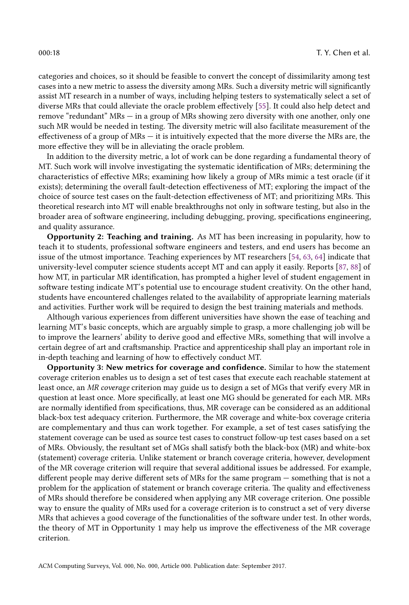categories and choices, so it should be feasible to convert the concept of dissimilarity among test cases into a new metric to assess the diversity among MRs. Such a diversity metric will significantly assist MT research in a number of ways, including helping testers to systematically select a set of diverse MRs that could alleviate the oracle problem effectively [\[55\]](#page-24-7). It could also help detect and remove "redundant" MRs — in a group of MRs showing zero diversity with one another, only one such MR would be needed in testing. The diversity metric will also facilitate measurement of the effectiveness of a group of  $MRs - it$  is intuitively expected that the more diverse the  $MRs$  are, the more effective they will be in alleviating the oracle problem.

In addition to the diversity metric, a lot of work can be done regarding a fundamental theory of MT. Such work will involve investigating the systematic identification of MRs; determining the characteristics of effective MRs; examining how likely a group of MRs mimic a test oracle (if it exists); determining the overall fault-detection effectiveness of  $MT$ ; exploring the impact of the choice of source test cases on the fault-detection effectiveness of MT; and prioritizing MRs. This theoretical research into MT will enable breakthroughs not only in software testing, but also in the broader area of software engineering, including debugging, proving, specifications engineering, and quality assurance.

Opportunity 2: Teaching and training. As MT has been increasing in popularity, how to teach it to students, professional software engineers and testers, and end users has become an issue of the utmost importance. Teaching experiences by MT researchers [\[54,](#page-24-16) [63,](#page-24-17) [64\]](#page-24-18) indicate that university-level computer science students accept MT and can apply it easily. Reports [\[87,](#page-25-19) [88\]](#page-25-20) of how MT, in particular MR identification, has prompted a higher level of student engagement in software testing indicate MT's potential use to encourage student creativity. On the other hand, students have encountered challenges related to the availability of appropriate learning materials and activities. Further work will be required to design the best training materials and methods.

Although various experiences from different universities have shown the ease of teaching and learning MT's basic concepts, which are arguably simple to grasp, a more challenging job will be to improve the learners' ability to derive good and effective MRs, something that will involve a certain degree of art and craftsmanship. Practice and apprenticeship shall play an important role in in-depth teaching and learning of how to effectively conduct MT.

Opportunity 3: New metrics for coverage and confidence. Similar to how the statement coverage criterion enables us to design a set of test cases that execute each reachable statement at least once, an MR coverage criterion may guide us to design a set of MGs that verify every MR in question at least once. More specifically, at least one MG should be generated for each MR. MRs are normally identified from specifications, thus, MR coverage can be considered as an additional black-box test adequacy criterion. Furthermore, the MR coverage and white-box coverage criteria are complementary and thus can work together. For example, a set of test cases satisfying the statement coverage can be used as source test cases to construct follow-up test cases based on a set of MRs. Obviously, the resultant set of MGs shall satisfy both the black-box (MR) and white-box (statement) coverage criteria. Unlike statement or branch coverage criteria, however, development of the MR coverage criterion will require that several additional issues be addressed. For example, different people may derive different sets of MRs for the same program  $-$  something that is not a problem for the application of statement or branch coverage criteria. The quality and effectiveness of MRs should therefore be considered when applying any MR coverage criterion. One possible way to ensure the quality of MRs used for a coverage criterion is to construct a set of very diverse MRs that achieves a good coverage of the functionalities of the software under test. In other words, the theory of MT in Opportunity 1 may help us improve the effectiveness of the MR coverage criterion.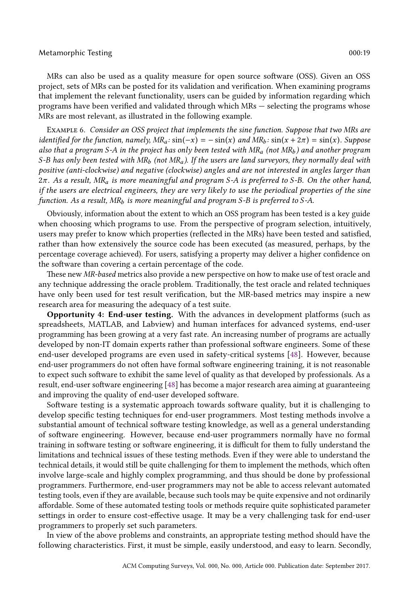MRs can also be used as a quality measure for open source software (OSS). Given an OSS project, sets of MRs can be posted for its validation and verification. When examining programs that implement the relevant functionality, users can be guided by information regarding which programs have been verified and validated through which MRs – selecting the programs whose MRs are most relevant, as illustrated in the following example.

Example 6. Consider an OSS project that implements the sine function. Suppose that two MRs are identified for the function, namely,  $MR_a$ :  $\sin(-x) = -\sin(x)$  and  $MR_b$ :  $\sin(x + 2\pi) = \sin(x)$ . Suppose also that a program S-A in the project has only been tested with  $MR_a$  (not  $MR_b$ ) and another program S-B has only been tested with MR<sub>b</sub> (not MR<sub>a</sub>). If the users are land surveyors, they normally deal with positive (anti-clockwise) and negative (clockwise) angles and are not interested in angles larger than <sup>2</sup>π. As a result, MR<sup>a</sup> is more meaningful and program <sup>S</sup>-<sup>A</sup> is preferred to <sup>S</sup>-B. On the other hand, if the users are electrical engineers, they are very likely to use the periodical properties of the sine function. As a result,  $MR_b$  is more meaningful and program S-B is preferred to S-A.

Obviously, information about the extent to which an OSS program has been tested is a key guide when choosing which programs to use. From the perspective of program selection, intuitively, users may prefer to know which properties (reflected in the MRs) have been tested and satisfied, rather than how extensively the source code has been executed (as measured, perhaps, by the percentage coverage achieved). For users, satisfying a property may deliver a higher condence on the software than covering a certain percentage of the code.

These new MR-based metrics also provide a new perspective on how to make use of test oracle and any technique addressing the oracle problem. Traditionally, the test oracle and related techniques have only been used for test result verification, but the MR-based metrics may inspire a new research area for measuring the adequacy of a test suite.

Opportunity 4: End-user testing. With the advances in development platforms (such as spreadsheets, MATLAB, and Labview) and human interfaces for advanced systems, end-user programming has been growing at a very fast rate. An increasing number of programs are actually developed by non-IT domain experts rather than professional software engineers. Some of these end-user developed programs are even used in safety-critical systems [\[48\]](#page-24-19). However, because end-user programmers do not often have formal software engineering training, it is not reasonable to expect such software to exhibit the same level of quality as that developed by professionals. As a result, end-user software engineering [\[48\]](#page-24-19) has become a major research area aiming at guaranteeing and improving the quality of end-user developed software.

Software testing is a systematic approach towards software quality, but it is challenging to develop specific testing techniques for end-user programmers. Most testing methods involve a substantial amount of technical software testing knowledge, as well as a general understanding of software engineering. However, because end-user programmers normally have no formal training in software testing or software engineering, it is difficult for them to fully understand the limitations and technical issues of these testing methods. Even if they were able to understand the technical details, it would still be quite challenging for them to implement the methods, which often involve large-scale and highly complex programming, and thus should be done by professional programmers. Furthermore, end-user programmers may not be able to access relevant automated testing tools, even if they are available, because such tools may be quite expensive and not ordinarily affordable. Some of these automated testing tools or methods require quite sophisticated parameter settings in order to ensure cost-effective usage. It may be a very challenging task for end-user programmers to properly set such parameters.

In view of the above problems and constraints, an appropriate testing method should have the following characteristics. First, it must be simple, easily understood, and easy to learn. Secondly,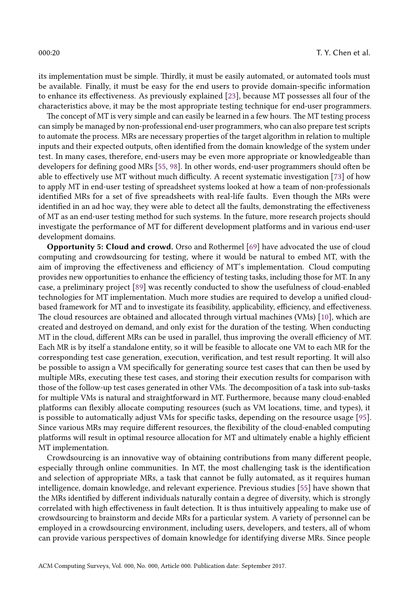its implementation must be simple. Thirdly, it must be easily automated, or automated tools must be available. Finally, it must be easy for the end users to provide domain-specific information to enhance its effectiveness. As previously explained  $[23]$ , because MT possesses all four of the characteristics above, it may be the most appropriate testing technique for end-user programmers.

The concept of MT is very simple and can easily be learned in a few hours. The MT testing process can simply be managed by non-professional end-user programmers, who can also prepare test scripts to automate the process. MRs are necessary properties of the target algorithm in relation to multiple inputs and their expected outputs, often identified from the domain knowledge of the system under test. In many cases, therefore, end-users may be even more appropriate or knowledgeable than developers for defining good MRs [\[55,](#page-24-7) [98\]](#page-26-5). In other words, end-user programmers should often be able to effectively use MT without much difficulty. A recent systematic investigation  $[73]$  of how to apply MT in end-user testing of spreadsheet systems looked at how a team of non-professionals identified MRs for a set of five spreadsheets with real-life faults. Even though the MRs were identified in an ad hoc way, they were able to detect all the faults, demonstrating the effectiveness of MT as an end-user testing method for such systems. In the future, more research projects should investigate the performance of MT for different development platforms and in various end-user development domains.

Opportunity 5: Cloud and crowd. Orso and Rothermel [\[69\]](#page-25-21) have advocated the use of cloud computing and crowdsourcing for testing, where it would be natural to embed MT, with the aim of improving the effectiveness and efficiency of MT's implementation. Cloud computing provides new opportunities to enhance the efficiency of testing tasks, including those for MT. In any case, a preliminary project [\[89\]](#page-25-22) was recently conducted to show the usefulness of cloud-enabled technologies for MT implementation. Much more studies are required to develop a unified cloudbased framework for MT and to investigate its feasibility, applicability, efficiency, and effectiveness. The cloud resources are obtained and allocated through virtual machines (VMs) [\[10\]](#page-22-21), which are created and destroyed on demand, and only exist for the duration of the testing. When conducting MT in the cloud, different MRs can be used in parallel, thus improving the overall efficiency of MT. Each MR is by itself a standalone entity, so it will be feasible to allocate one VM to each MR for the corresponding test case generation, execution, verification, and test result reporting. It will also be possible to assign a VM specifically for generating source test cases that can then be used by multiple MRs, executing these test cases, and storing their execution results for comparison with those of the follow-up test cases generated in other VMs. The decomposition of a task into sub-tasks for multiple VMs is natural and straightforward in MT. Furthermore, because many cloud-enabled platforms can flexibly allocate computing resources (such as VM locations, time, and types), it is possible to automatically adjust VMs for specific tasks, depending on the resource usage [\[95\]](#page-26-10). Since various MRs may require different resources, the flexibility of the cloud-enabled computing platforms will result in optimal resource allocation for MT and ultimately enable a highly efficient MT implementation.

Crowdsourcing is an innovative way of obtaining contributions from many different people, especially through online communities. In MT, the most challenging task is the identification and selection of appropriate MRs, a task that cannot be fully automated, as it requires human intelligence, domain knowledge, and relevant experience. Previous studies [\[55\]](#page-24-7) have shown that the MRs identified by different individuals naturally contain a degree of diversity, which is strongly correlated with high effectiveness in fault detection. It is thus intuitively appealing to make use of crowdsourcing to brainstorm and decide MRs for a particular system. A variety of personnel can be employed in a crowdsourcing environment, including users, developers, and testers, all of whom can provide various perspectives of domain knowledge for identifying diverse MRs. Since people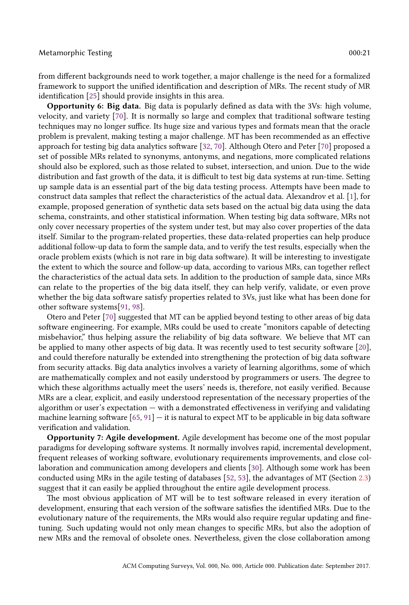from different backgrounds need to work together, a major challenge is the need for a formalized framework to support the unified identification and description of MRs. The recent study of MR identification  $[25]$  should provide insights in this area.

**Opportunity 6: Big data.** Big data is popularly defined as data with the 3Vs: high volume, velocity, and variety  $[70]$ . It is normally so large and complex that traditional software testing techniques may no longer suffice. Its huge size and various types and formats mean that the oracle problem is prevalent, making testing a major challenge. MT has been recommended as an effective approach for testing big data analytics software [\[32,](#page-23-22) [70\]](#page-25-17). Although Otero and Peter [\[70\]](#page-25-17) proposed a set of possible MRs related to synonyms, antonyms, and negations, more complicated relations should also be explored, such as those related to subset, intersection, and union. Due to the wide distribution and fast growth of the data, it is difficult to test big data systems at run-time. Setting up sample data is an essential part of the big data testing process. Attempts have been made to construct data samples that reflect the characteristics of the actual data. Alexandrov et al. [\[1\]](#page-21-0), for example, proposed generation of synthetic data sets based on the actual big data using the data schema, constraints, and other statistical information. When testing big data software, MRs not only cover necessary properties of the system under test, but may also cover properties of the data itself. Similar to the program-related properties, these data-related properties can help produce additional follow-up data to form the sample data, and to verify the test results, especially when the oracle problem exists (which is not rare in big data software). It will be interesting to investigate the extent to which the source and follow-up data, according to various MRs, can together reflect the characteristics of the actual data sets. In addition to the production of sample data, since MRs can relate to the properties of the big data itself, they can help verify, validate, or even prove whether the big data software satisfy properties related to 3Vs, just like what has been done for other software systems[\[91,](#page-25-4) [98\]](#page-26-5).

Otero and Peter [\[70\]](#page-25-17) suggested that MT can be applied beyond testing to other areas of big data software engineering. For example, MRs could be used to create "monitors capable of detecting misbehavior," thus helping assure the reliability of big data software. We believe that MT can be applied to many other aspects of big data. It was recently used to test security software [\[20\]](#page-22-6), and could therefore naturally be extended into strengthening the protection of big data software from security attacks. Big data analytics involves a variety of learning algorithms, some of which are mathematically complex and not easily understood by programmers or users. The degree to which these algorithms actually meet the users' needs is, therefore, not easily verified. Because MRs are a clear, explicit, and easily understood representation of the necessary properties of the algorithm or user's expectation  $-$  with a demonstrated effectiveness in verifying and validating machine learning software  $[65, 91]$  $[65, 91]$  $[65, 91]$  – it is natural to expect MT to be applicable in big data software verification and validation.

Opportunity 7: Agile development. Agile development has become one of the most popular paradigms for developing software systems. It normally involves rapid, incremental development, frequent releases of working software, evolutionary requirements improvements, and close collaboration and communication among developers and clients [\[30\]](#page-23-23). Although some work has been conducted using MRs in the agile testing of databases [\[52,](#page-24-3) [53\]](#page-24-20), the advantages of MT (Section [2.3\)](#page-4-0) suggest that it can easily be applied throughout the entire agile development process.

The most obvious application of MT will be to test software released in every iteration of development, ensuring that each version of the software satisfies the identified MRs. Due to the evolutionary nature of the requirements, the MRs would also require regular updating and finetuning. Such updating would not only mean changes to specific MRs, but also the adoption of new MRs and the removal of obsolete ones. Nevertheless, given the close collaboration among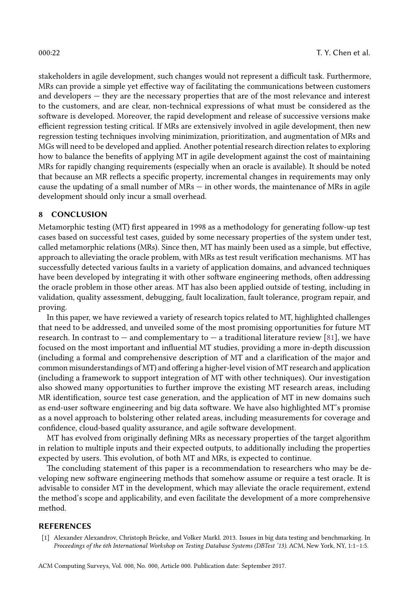stakeholders in agile development, such changes would not represent a difficult task. Furthermore, MRs can provide a simple yet effective way of facilitating the communications between customers and developers — they are the necessary properties that are of the most relevance and interest to the customers, and are clear, non-technical expressions of what must be considered as the software is developed. Moreover, the rapid development and release of successive versions make efficient regression testing critical. If MRs are extensively involved in agile development, then new regression testing techniques involving minimization, prioritization, and augmentation of MRs and MGs will need to be developed and applied. Another potential research direction relates to exploring how to balance the benefits of applying MT in agile development against the cost of maintaining MRs for rapidly changing requirements (especially when an oracle is available). It should be noted that because an MR reflects a specific property, incremental changes in requirements may only cause the updating of a small number of MRs — in other words, the maintenance of MRs in agile development should only incur a small overhead.

# 8 CONCLUSION

Metamorphic testing (MT) first appeared in 1998 as a methodology for generating follow-up test cases based on successful test cases, guided by some necessary properties of the system under test, called metamorphic relations (MRs). Since then, MT has mainly been used as a simple, but effective, approach to alleviating the oracle problem, with MRs as test result verification mechanisms. MT has successfully detected various faults in a variety of application domains, and advanced techniques have been developed by integrating it with other software engineering methods, often addressing the oracle problem in those other areas. MT has also been applied outside of testing, including in validation, quality assessment, debugging, fault localization, fault tolerance, program repair, and proving.

In this paper, we have reviewed a variety of research topics related to MT, highlighted challenges that need to be addressed, and unveiled some of the most promising opportunities for future MT research. In contrast to — and complementary to — a traditional literature review [\[81\]](#page-25-7), we have focused on the most important and influential MT studies, providing a more in-depth discussion (including a formal and comprehensive description of MT and a clarification of the major and common misunderstandings of MT) and offering a higher-level vision of MT research and application (including a framework to support integration of MT with other techniques). Our investigation also showed many opportunities to further improve the existing MT research areas, including MR identification, source test case generation, and the application of MT in new domains such as end-user software engineering and big data software. We have also highlighted MT's promise as a novel approach to bolstering other related areas, including measurements for coverage and confidence, cloud-based quality assurance, and agile software development.

MT has evolved from originally defining MRs as necessary properties of the target algorithm in relation to multiple inputs and their expected outputs, to additionally including the properties expected by users. This evolution, of both MT and MRs, is expected to continue.

The concluding statement of this paper is a recommendation to researchers who may be developing new software engineering methods that somehow assume or require a test oracle. It is advisable to consider MT in the development, which may alleviate the oracle requirement, extend the method's scope and applicability, and even facilitate the development of a more comprehensive method.

# REFERENCES

<span id="page-21-0"></span>[1] Alexander Alexandrov, Christoph Brücke, and Volker Markl. 2013. Issues in big data testing and benchmarking. In Proceedings of the 6th International Workshop on Testing Database Systems (DBTest '13). ACM, New York, NY, 1:1–1:5.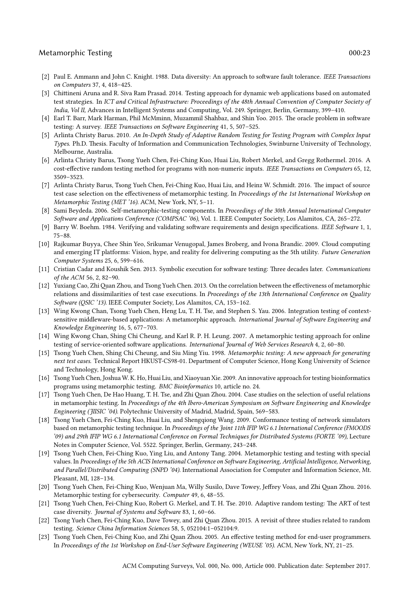- <span id="page-22-10"></span>[2] Paul E. Ammann and John C. Knight. 1988. Data diversity: An approach to software fault tolerance. IEEE Transactions on Computers 37, 4, 418–425.
- <span id="page-22-7"></span>[3] Chittineni Aruna and R. Siva Ram Prasad. 2014. Testing approach for dynamic web applications based on automated test strategies. In ICT and Critical Infrastructure: Proceedings of the 48th Annual Convention of Computer Society of India, Vol II, Advances in Intelligent Systems and Computing, Vol. 249. Springer, Berlin, Germany, 399–410.
- <span id="page-22-8"></span>[4] Earl T. Barr, Mark Harman, Phil McMminn, Muzammil Shahbaz, and Shin Yoo. 2015. The oracle problem in software testing: A survey. IEEE Transactions on Software Engineering 41, 5, 507-525.
- <span id="page-22-16"></span>[5] Arlinta Christy Barus. 2010. An In-Depth Study of Adaptive Random Testing for Testing Program with Complex Input Types. Ph.D. Thesis. Faculty of Information and Communication Technologies, Swinburne University of Technology, Melbourne, Australia.
- <span id="page-22-19"></span>[6] Arlinta Christy Barus, Tsong Yueh Chen, Fei-Ching Kuo, Huai Liu, Robert Merkel, and Gregg Rothermel. 2016. A cost-effective random testing method for programs with non-numeric inputs. IEEE Transactions on Computers 65, 12, 3509–3523.
- <span id="page-22-14"></span>[7] Arlinta Christy Barus, Tsong Yueh Chen, Fei-Ching Kuo, Huai Liu, and Heinz W. Schmidt. 2016. The impact of source test case selection on the effectiveness of metamorphic testing. In Proceedings of the 1st International Workshop on Metamorphic Testing (MET '16). ACM, New York, NY, 5–11.
- <span id="page-22-2"></span>[8] Sami Beydeda. 2006. Self-metamorphic-testing components. In Proceedings of the 30th Annual International Computer Software and Applications Conference (COMPSAC '06), Vol. 1. IEEE Computer Society, Los Alamitos, CA, 265-272.
- <span id="page-22-17"></span>[9] Barry W. Boehm. 1984. Verifying and validating software requirements and design specifications. IEEE Software 1, 1, 75–88.
- <span id="page-22-21"></span>[10] Rajkumar Buyya, Chee Shin Yeo, Srikumar Venugopal, James Broberg, and Ivona Brandic. 2009. Cloud computing and emerging IT platforms: Vision, hype, and reality for delivering computing as the 5th utility. Future Generation Computer Systems 25, 6, 599–616.
- <span id="page-22-0"></span>[11] Cristian Cadar and Koushik Sen. 2013. Symbolic execution for software testing: Three decades later. Communications of the ACM 56, 2, 82–90.
- <span id="page-22-11"></span>[12] Yuxiang Cao, Zhi Quan Zhou, and Tsong Yueh Chen. 2013. On the correlation between the effectiveness of metamorphic relations and dissimilarities of test case executions. In Proceedings of the 13th International Conference on Quality Software (QSIC '13). IEEE Computer Society, Los Alamitos, CA, 153-162.
- <span id="page-22-3"></span>[13] Wing Kwong Chan, Tsong Yueh Chen, Heng Lu, T. H. Tse, and Stephen S. Yau. 2006. Integration testing of contextsensitive middleware-based applications: A metamorphic approach. International Journal of Software Engineering and Knowledge Engineering 16, 5, 677–703.
- <span id="page-22-4"></span>[14] Wing Kwong Chan, Shing Chi Cheung, and Karl R. P. H. Leung. 2007. A metamorphic testing approach for online testing of service-oriented software applications. International Journal of Web Services Research 4, 2, 60-80.
- <span id="page-22-1"></span>[15] Tsong Yueh Chen, Shing Chi Cheung, and Siu Ming Yiu. 1998. Metamorphic testing: A new approach for generating next test cases. Technical Report HKUST-CS98-01. Department of Computer Science, Hong Kong University of Science and Technology, Hong Kong.
- <span id="page-22-5"></span>[16] Tsong Yueh Chen, Joshua W. K. Ho, Huai Liu, and Xiaoyuan Xie. 2009. An innovative approach for testing bioinformatics programs using metamorphic testing. BMC Bioinformatics 10, article no. 24.
- <span id="page-22-12"></span>[17] Tsong Yueh Chen, De Hao Huang, T. H. Tse, and Zhi Quan Zhou. 2004. Case studies on the selection of useful relations in metamorphic testing. In Proceedings of the 4th Ibero-American Symposium on Software Engineering and Knowledge Engineering (JIISIC '04). Polytechnic University of Madrid, Madrid, Spain, 569–583.
- <span id="page-22-18"></span>[18] Tsong Yueh Chen, Fei-Ching Kuo, Huai Liu, and Shengqiong Wang. 2009. Conformance testing of network simulators based on metamorphic testing technique. In Proceedings of the Joint 11th IFIP WG 6.1 International Conference (FMOODS '09) and 29th IFIP WG 6.1 International Conference on Formal Techniques for Distributed Systems (FORTE '09), Lecture Notes in Computer Science, Vol. 5522. Springer, Berlin, Germany, 243–248.
- <span id="page-22-15"></span>[19] Tsong Yueh Chen, Fei-Ching Kuo, Ying Liu, and Antony Tang. 2004. Metamorphic testing and testing with special values. In Proceedings of the 5th ACIS International Conference on Software Engineering, Artificial Intelligence, Networking, and Parallel/Distributed Computing (SNPD '04). International Association for Computer and Information Science, Mt. Pleasant, MI, 128–134.
- <span id="page-22-6"></span>[20] Tsong Yueh Chen, Fei-Ching Kuo, Wenjuan Ma, Willy Susilo, Dave Towey, Jeffrey Voas, and Zhi Quan Zhou. 2016. Metamorphic testing for cybersecurity. Computer 49, 6, 48–55.
- <span id="page-22-9"></span>[21] Tsong Yueh Chen, Fei-Ching Kuo, Robert G. Merkel, and T. H. Tse. 2010. Adaptive random testing: The ART of test case diversity. Journal of Systems and Software 83, 1, 60-66.
- <span id="page-22-13"></span>[22] Tsong Yueh Chen, Fei-Ching Kuo, Dave Towey, and Zhi Quan Zhou. 2015. A revisit of three studies related to random testing. Science China Information Sciences 58, 5, 052104:1–052104:9.
- <span id="page-22-20"></span>[23] Tsong Yueh Chen, Fei-Ching Kuo, and Zhi Quan Zhou. 2005. An effective testing method for end-user programmers. In Proceedings of the 1st Workshop on End-User Software Engineering (WEUSE '05). ACM, New York, NY, 21-25.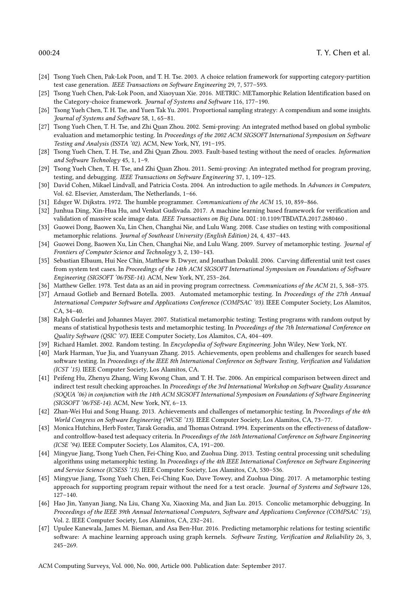- <span id="page-23-19"></span>[24] Tsong Yueh Chen, Pak-Lok Poon, and T. H. Tse. 2003. A choice relation framework for supporting category-partition test case generation. IEEE Transactions on Software Engineering 29, 7, 577-593.
- <span id="page-23-9"></span>[25] Tsong Yueh Chen, Pak-Lok Poon, and Xiaoyuan Xie. 2016. METRIC: METamorphic Relation Identification based on the Category-choice framework. Journal of Systems and Software 116, 177-190.
- <span id="page-23-13"></span>[26] Tsong Yueh Chen, T. H. Tse, and Yuen Tak Yu. 2001. Proportional sampling strategy: A compendium and some insights. Journal of Systems and Software 58, 1, 65-81.
- <span id="page-23-3"></span>[27] Tsong Yueh Chen, T. H. Tse, and Zhi Quan Zhou. 2002. Semi-proving: An integrated method based on global symbolic evaluation and metamorphic testing. In Proceedings of the 2002 ACM SIGSOFT International Symposium on Software Testing and Analysis (ISSTA '02). ACM, New York, NY, 191–195.
- <span id="page-23-20"></span>[28] Tsong Yueh Chen, T. H. Tse, and Zhi Quan Zhou. 2003. Fault-based testing without the need of oracles. Information and Software Technology 45, 1, 1-9.
- <span id="page-23-4"></span>[29] Tsong Yueh Chen, T. H. Tse, and Zhi Quan Zhou. 2011. Semi-proving: An integrated method for program proving, testing, and debugging. IEEE Transactions on Software Engineering 37, 1, 109-125.
- <span id="page-23-23"></span>[30] David Cohen, Mikael Lindvall, and Patricia Costa. 2004. An introduction to agile methods. In Advances in Computers, Vol. 62. Elsevier, Amsterdam, The Netherlands, 1-66.
- <span id="page-23-12"></span>[31] Edsger W. Dijkstra. 1972. The humble programmer. Communications of the ACM 15, 10, 859-866.
- <span id="page-23-22"></span>[32] Junhua Ding, Xin-Hua Hu, and Venkat Gudivada. 2017. A machine learning based framework for verification and validation of massive scale image data. IEEE Transactions on Big Data. DOI:10.1109/TBDATA.2017.2680460.
- <span id="page-23-18"></span>[33] Guowei Dong, Baowen Xu, Lin Chen, Changhai Nie, and Lulu Wang. 2008. Case studies on testing with compositional metamorphic relations. Journal of Southeast University (English Edition) 24, 4, 437–443.
- <span id="page-23-7"></span>[34] Guowei Dong, Baowen Xu, Lin Chen, Changhai Nie, and Lulu Wang. 2009. Survey of metamorphic testing. Journal of Frontiers of Computer Science and Technology 3, 2, 130–143.
- <span id="page-23-15"></span>[35] Sebastian Elbaum, Hui Nee Chin, Matthew B. Dwyer, and Jonathan Dokulil. 2006. Carving differential unit test cases from system test cases. In Proceedings of the 14th ACM SIGSOFT International Symposium on Foundations of Software Engineering (SIGSOFT '06/FSE-14). ACM, New York, NY, 253–264.
- <span id="page-23-21"></span>[36] Matthew Geller. 1978. Test data as an aid in proving program correctness. Communications of the ACM 21, 5, 368-375.
- <span id="page-23-11"></span>[37] Arnaud Gotlieb and Bernard Botella. 2003. Automated metamorphic testing. In Proceedings of the 27th Annual International Computer Software and Applications Conference (COMPSAC '03). IEEE Computer Society, Los Alamitos, CA, 34–40.
- <span id="page-23-16"></span>[38] Ralph Guderlei and Johannes Mayer. 2007. Statistical metamorphic testing: Testing programs with random output by means of statistical hypothesis tests and metamorphic testing. In Proceedings of the 7th International Conference on Quality Software (QSIC '07). IEEE Computer Society, Los Alamitos, CA, 404-409.
- <span id="page-23-0"></span>[39] Richard Hamlet. 2002. Random testing. In Encyclopedia of Software Engineering. John Wiley, New York, NY.
- <span id="page-23-1"></span>[40] Mark Harman, Yue Jia, and Yuanyuan Zhang. 2015. Achievements, open problems and challenges for search based software testing. In Proceedings of the IEEE 8th International Conference on Software Testing, Verification and Validation (ICST '15). IEEE Computer Society, Los Alamitos, CA.
- <span id="page-23-14"></span>[41] Peifeng Hu, Zhenyu Zhang, Wing Kwong Chan, and T. H. Tse. 2006. An empirical comparison between direct and indirect test result checking approaches. In Proceedings of the 3rd International Workshop on Software Quality Assurance (SOQUA '06) in conjunction with the 14th ACM SIGSOFT International Symposium on Foundations of Software Engineering (SIGSOFT '06/FSE-14). ACM, New York, NY, 6–13.
- <span id="page-23-8"></span>[42] Zhan-Wei Hui and Song Huang. 2013. Achievements and challenges of metamorphic testing. In Proceedings of the 4th World Congress on Software Engineering (WCSE '13). IEEE Computer Society, Los Alamitos, CA, 73-77.
- <span id="page-23-2"></span>[43] Monica Hutchins, Herb Foster, Tarak Goradia, and Thomas Ostrand. 1994. Experiments on the effectiveness of dataflowand controlflow-based test adequacy criteria. In Proceedings of the 16th International Conference on Software Engineering (ICSE '94). IEEE Computer Society, Los Alamitos, CA, 191–200.
- <span id="page-23-17"></span>[44] Mingyue Jiang, Tsong Yueh Chen, Fei-Ching Kuo, and Zuohua Ding. 2013. Testing central processing unit scheduling algorithms using metamorphic testing. In Proceedings of the 4th IEEE International Conference on Software Engineering and Service Science (ICSESS '13). IEEE Computer Society, Los Alamitos, CA, 530–536.
- <span id="page-23-5"></span>[45] Mingyue Jiang, Tsong Yueh Chen, Fei-Ching Kuo, Dave Towey, and Zuohua Ding. 2017. A metamorphic testing approach for supporting program repair without the need for a test oracle. Journal of Systems and Software 126, 127–140.
- <span id="page-23-6"></span>[46] Hao Jin, Yanyan Jiang, Na Liu, Chang Xu, Xiaoxing Ma, and Jian Lu. 2015. Concolic metamorphic debugging. In Proceedings of the IEEE 39th Annual International Computers, Software and Applications Conference (COMPSAC '15), Vol. 2. IEEE Computer Society, Los Alamitos, CA, 232–241.
- <span id="page-23-10"></span>[47] Upulee Kanewala, James M. Bieman, and Asa Ben-Hur. 2016. Predicting metamorphic relations for testing scientific software: A machine learning approach using graph kernels. Software Testing, Verification and Reliability 26, 3, 245–269.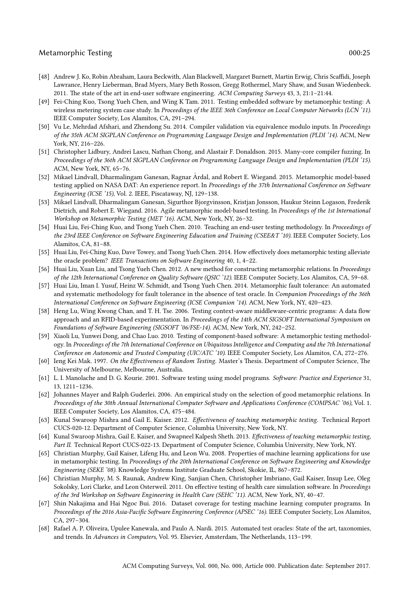- <span id="page-24-19"></span>[48] Andrew J. Ko, Robin Abraham, Laura Beckwith, Alan Blackwell, Margaret Burnett, Martin Erwig, Chris Scaffidi, Joseph Lawrance, Henry Lieberman, Brad Myers, Mary Beth Rosson, Gregg Rothermel, Mary Shaw, and Susan Wiedenbeck. 2011. The state of the art in end-user software engineering. ACM Computing Surveys 43, 3, 21:1-21:44.
- <span id="page-24-9"></span>[49] Fei-Ching Kuo, Tsong Yueh Chen, and Wing K Tam. 2011. Testing embedded software by metamorphic testing: A wireless metering system case study. In Proceedings of the IEEE 36th Conference on Local Computer Networks (LCN '11). IEEE Computer Society, Los Alamitos, CA, 291–294.
- <span id="page-24-1"></span>[50] Vu Le, Mehrdad Afshari, and Zhendong Su. 2014. Compiler validation via equivalence modulo inputs. In Proceedings of the 35th ACM SIGPLAN Conference on Programming Language Design and Implementation (PLDI '14). ACM, New York, NY, 216–226.
- <span id="page-24-2"></span>[51] Christopher Lidbury, Andrei Lascu, Nathan Chong, and Alastair F. Donaldson. 2015. Many-core compiler fuzzing. In Proceedings of the 36th ACM SIGPLAN Conference on Programming Language Design and Implementation (PLDI '15). ACM, New York, NY, 65–76.
- <span id="page-24-3"></span>[52] Mikael Lindvall, Dharmalingam Ganesan, Ragnar Ardal, and Robert E. Wiegand. 2015. Metamorphic model-based ´ testing applied on NASA DAT: An experience report. In Proceedings of the 37th International Conference on Software Engineering (ICSE '15), Vol. 2. IEEE, Piscataway, NJ, 129–138.
- <span id="page-24-20"></span>[53] Mikael Lindvall, Dharmalingam Ganesan, Sigurthor Bjorgvinsson, Kristjan Jonsson, Haukur Steinn Logason, Frederik Dietrich, and Robert E. Wiegand. 2016. Agile metamorphic model-based testing. In Proceedings of the 1st International Workshop on Metamorphic Testing (MET '16). ACM, New York, NY, 26–32.
- <span id="page-24-16"></span>[54] Huai Liu, Fei-Ching Kuo, and Tsong Yueh Chen. 2010. Teaching an end-user testing methodology. In Proceedings of the 23rd IEEE Conference on Software Engineering Education and Training (CSEE&T '10). IEEE Computer Society, Los Alamitos, CA, 81–88.
- <span id="page-24-7"></span>[55] Huai Liu, Fei-Ching Kuo, Dave Towey, and Tsong Yueh Chen. 2014. How effectively does metamorphic testing alleviate the oracle problem? IEEE Transactions on Software Engineering 40, 1, 4-22.
- <span id="page-24-14"></span>[56] Huai Liu, Xuan Liu, and Tsong Yueh Chen. 2012. A new method for constructing metamorphic relations. In Proceedings of the 12th International Conference on Quality Software (QSIC '12). IEEE Computer Society, Los Alamitos, CA, 59-68.
- <span id="page-24-4"></span>[57] Huai Liu, Iman I. Yusuf, Heinz W. Schmidt, and Tsong Yueh Chen. 2014. Metamorphic fault tolerance: An automated and systematic methodology for fault tolerance in the absence of test oracle. In Companion Proceedings of the 36th International Conference on Software Engineering (ICSE Companion '14). ACM, New York, NY, 420-423.
- <span id="page-24-15"></span>[58] Heng Lu, Wing Kwong Chan, and T. H. Tse. 2006. Testing context-aware middleware-centric programs: A data flow approach and an RFID-based experimentation. In Proceedings of the 14th ACM SIGSOFT International Symposium on Foundations of Software Engineering (SIGSOFT '06/FSE-14). ACM, New York, NY, 242-252.
- <span id="page-24-10"></span>[59] Xiaoli Lu, Yunwei Dong, and Chao Luo. 2010. Testing of component-based software: A metamorphic testing methodology. In Proceedings of the 7th International Conference on Ubiquitous Intelligence and Computing and the 7th International Conference on Autonomic and Trusted Computing (UIC/ATC '10). IEEE Computer Society, Los Alamitos, CA, 272–276.
- <span id="page-24-6"></span>[60] Ieng Kei Mak. 1997. On the Effectiveness of Random Testing. Master's Thesis. Department of Computer Science, The University of Melbourne, Melbourne, Australia.
- <span id="page-24-0"></span>[61] L. I. Manolache and D. G. Kourie. 2001. Software testing using model programs. Software: Practice and Experience 31, 13, 1211–1236.
- <span id="page-24-13"></span>[62] Johannes Mayer and Ralph Guderlei. 2006. An empirical study on the selection of good metamorphic relations. In Proceedings of the 30th Annual International Computer Software and Applications Conference (COMPSAC '06), Vol. 1. IEEE Computer Society, Los Alamitos, CA, 475–484.
- <span id="page-24-17"></span>[63] Kunal Swaroop Mishra and Gail E. Kaiser. 2012. Effectiveness of teaching metamorphic testing. Technical Report CUCS-020-12. Department of Computer Science, Columbia University, New York, NY.
- <span id="page-24-18"></span>[64] Kunal Swaroop Mishra, Gail E. Kaiser, and Swapneel Kalpesh Sheth. 2013. Effectiveness of teaching metamorphic testing, Part II. Technical Report CUCS-022-13. Department of Computer Science, Columbia University, New York, NY.
- <span id="page-24-11"></span>[65] Christian Murphy, Gail Kaiser, Lifeng Hu, and Leon Wu. 2008. Properties of machine learning applications for use in metamorphic testing. In Proceedings of the 20th International Conference on Software Engineering and Knowledge Engineering (SEKE '08). Knowledge Systems Institute Graduate School, Skokie, IL, 867–872.
- <span id="page-24-8"></span>[66] Christian Murphy, M. S. Raunak, Andrew King, Sanjian Chen, Christopher Imbriano, Gail Kaiser, Insup Lee, Oleg Sokolsky, Lori Clarke, and Leon Osterweil. 2011. On effective testing of health care simulation software. In Proceedings of the 3rd Workshop on Software Engineering in Health Care (SEHC '11). ACM, New York, NY, 40-47.
- <span id="page-24-12"></span>[67] Shin Nakajima and Hai Ngoc Bui. 2016. Dataset coverage for testing machine learning computer programs. In Proceedings of the 2016 Asia-Pacific Software Engineering Conference (APSEC '16). IEEE Computer Society, Los Alamitos, CA, 297–304.
- <span id="page-24-5"></span>[68] Rafael A. P. Oliveira, Upulee Kanewala, and Paulo A. Nardi. 2015. Automated test oracles: State of the art, taxonomies, and trends. In Advances in Computers, Vol. 95. Elsevier, Amsterdam, The Netherlands, 113-199.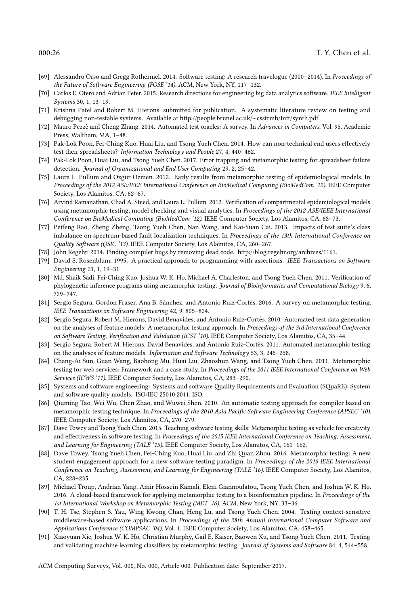- <span id="page-25-21"></span>[69] Alessandro Orso and Gregg Rothermel. 2014. Software testing: A research travelogue (2000–2014). In Proceedings of the Future of Software Engineering (FOSE '14). ACM, New York, NY, 117-132.
- <span id="page-25-17"></span>[70] Carlos E. Otero and Adrian Peter. 2015. Research directions for engineering big data analytics software. IEEE Intelligent Systems 30, 1, 13–19.
- <span id="page-25-5"></span>[71] Krishna Patel and Robert M. Hierons. submitted for publication. A systematic literature review on testing and debugging non-testable systems. Available at http://people.brunel.ac.uk/∼csstrmh/Intt/synth.pdf.
- <span id="page-25-6"></span>[72] Mauro Pezzè and Cheng Zhang. 2014. Automated test oracles: A survey. In Advances in Computers, Vol. 95. Academic Press, Waltham, MA, 1–48.
- <span id="page-25-8"></span>[73] Pak-Lok Poon, Fei-Ching Kuo, Huai Liu, and Tsong Yueh Chen. 2014. How can non-technical end users effectively test their spreadsheets? Information Technology and People 27, 4, 440–462.
- <span id="page-25-15"></span>[74] Pak-Lok Poon, Huai Liu, and Tsong Yueh Chen. 2017. Error trapping and metamorphic testing for spreadsheet failure detection. Journal of Organizational and End User Computing 29, 2, 25–42.
- <span id="page-25-10"></span>[75] Laura L. Pullum and Ozgur Ozmen. 2012. Early results from metamorphic testing of epidemiological models. In Proceedings of the 2012 ASE/IEEE International Conference on BioMedical Computing (BioMedCom '12). IEEE Computer Society, Los Alamitos, CA, 62–67.
- <span id="page-25-11"></span>[76] Arvind Ramanathan, Chad A. Steed, and Laura L. Pullum. 2012. Verification of compartmental epidemiological models using metamorphic testing, model checking and visual analytics. In Proceedings of the 2012 ASE/IEEE International Conference on BioMedical Computing (BioMedCom '12). IEEE Computer Society, Los Alamitos, CA, 68–73.
- <span id="page-25-1"></span>[77] Peifeng Rao, Zheng Zheng, Tsong Yueh Chen, Nan Wang, and Kai-Yuan Cai. 2013. Impacts of test suite's class imbalance on spectrum-based fault localization techniques. In Proceedings of the 13th International Conference on Quality Software (QSIC '13). IEEE Computer Society, Los Alamitos, CA, 260-267.
- <span id="page-25-2"></span>[78] John Regehr. 2014. Finding compiler bugs by removing dead code. http://blog.regehr.org/archives/1161.
- <span id="page-25-0"></span>[79] David S. Rosenblum. 1995. A practical approach to programming with assertions. IEEE Transactions on Software Engineering 21, 1, 19–31.
- <span id="page-25-12"></span>[80] Md. Shaik Sadi, Fei-Ching Kuo, Joshua W. K. Ho, Michael A. Charleston, and Tsong Yueh Chen. 2011. Verification of phylogenetic inference programs using metamorphic testing. Journal of Bioinformatics and Computational Biology 9, 6, 729–747.
- <span id="page-25-7"></span>[81] Sergio Segura, Gordon Fraser, Ana B. Sánchez, and Antonio Ruiz-Cortés. 2016. A survey on metamorphic testing. IEEE Transactions on Software Engineering 42, 9, 805-824.
- <span id="page-25-14"></span>[82] Sergio Segura, Robert M. Hierons, David Benavides, and Antonio Ruiz-Cortes. 2010. Automated test data generation ´ on the analyses of feature models: A metamorphic testing approach. In Proceedings of the 3rd International Conference on Software Testing, Verification and Validation (ICST '10). IEEE Computer Society, Los Alamitos, CA, 35-44.
- <span id="page-25-3"></span>[83] Sergio Segura, Robert M. Hierons, David Benavides, and Antonio Ruiz-Cortés. 2011. Automated metamorphic testing on the analyses of feature models. *Information and Software Technology* 53, 3, 245–258.
- <span id="page-25-9"></span>[84] Chang-Ai Sun, Guan Wang, Baohong Mu, Huai Liu, Zhaoshun Wang, and Tsong Yueh Chen. 2011. Metamorphic testing for web services: Framework and a case study. In Proceedings of the 2011 IEEE International Conference on Web Services (ICWS '11). IEEE Computer Society, Los Alamitos, CA, 283–290.
- <span id="page-25-16"></span>[85] Systems and software engineering: Systems and software Quality Requirements and Evaluation (SQuaRE): System and software quality models. ISO/IEC 25010:2011, ISO.
- <span id="page-25-13"></span>[86] Qiuming Tao, Wei Wu, Chen Zhao, and Wuwei Shen. 2010. An automatic testing approach for compiler based on metamorphic testing technique. In Proceedings of the 2010 Asia Pacific Software Engineering Conference (APSEC '10). IEEE Computer Society, Los Alamitos, CA, 270–279.
- <span id="page-25-19"></span>[87] Dave Towey and Tsong Yueh Chen. 2015. Teaching software testing skills: Metamorphic testing as vehicle for creativity and effectiveness in software testing. In Proceedings of the 2015 IEEE International Conference on Teaching, Assessment, and Learning for Engineering (TALE '15). IEEE Computer Society, Los Alamitos, CA, 161–162.
- <span id="page-25-20"></span>[88] Dave Towey, Tsong Yueh Chen, Fei-Ching Kuo, Huai Liu, and Zhi Quan Zhou. 2016. Metamorphic testing: A new student engagement approach for a new software testing paradigm. In Proceedings of the 2016 IEEE International Conference on Teaching, Assessment, and Learning for Engineering (TALE '16). IEEE Computer Society, Los Alamitos, CA, 228–235.
- <span id="page-25-22"></span>[89] Michael Troup, Andrian Yang, Amir Hossein Kamali, Eleni Giannoulatou, Tsong Yueh Chen, and Joshua W. K. Ho. 2016. A cloud-based framework for applying metamorphic testing to a bioinformatics pipeline. In Proceedings of the 1st International Workshop on Metamorphic Testing (MET '16). ACM, New York, NY, 33–36.
- <span id="page-25-18"></span>[90] T. H. Tse, Stephen S. Yau, Wing Kwong Chan, Heng Lu, and Tsong Yueh Chen. 2004. Testing context-sensitive middleware-based software applications. In Proceedings of the 28th Annual International Computer Software and Applications Conference (COMPSAC '04), Vol. 1. IEEE Computer Society, Los Alamitos, CA, 458–465.
- <span id="page-25-4"></span>[91] Xiaoyuan Xie, Joshua W. K. Ho, Christian Murphy, Gail E. Kaiser, Baowen Xu, and Tsong Yueh Chen. 2011. Testing and validating machine learning classifiers by metamorphic testing. Journal of Systems and Software 84, 4, 544-558.